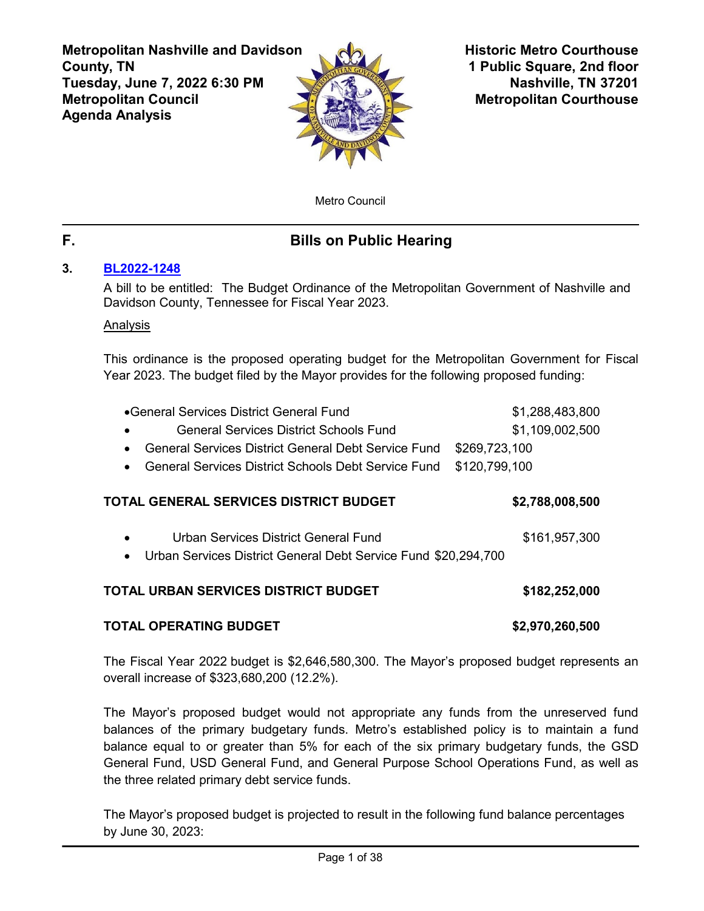**Metropolitan Nashville and Davidson County, TN Tuesday, June 7, 2022 6:30 PM Metropolitan Council Agenda Analysis**



**Historic Metro Courthouse 1 Public Square, 2nd floor Nashville, TN 37201 Metropolitan Courthouse**

Metro Council

# **F. Bills on Public Hearing**

# **3. [BL2022-1248](http://nashville.legistar.com/gateway.aspx?m=l&id=/matter.aspx?key=14439)**

A bill to be entitled: The Budget Ordinance of the Metropolitan Government of Nashville and Davidson County, Tennessee for Fiscal Year 2023.

# Analysis

This ordinance is the proposed operating budget for the Metropolitan Government for Fiscal Year 2023. The budget filed by the Mayor provides for the following proposed funding:

| ● General Services District General Fund                                    | \$1,288,483,800 |
|-----------------------------------------------------------------------------|-----------------|
| General Services District Schools Fund                                      | \$1,109,002,500 |
| General Services District General Debt Service Fund                         | \$269,723,100   |
| General Services District Schools Debt Service Fund<br>$\bullet$            | \$120,799,100   |
| TOTAL GENERAL SERVICES DISTRICT BUDGET                                      | \$2,788,008,500 |
|                                                                             |                 |
| Urban Services District General Fund<br>$\bullet$                           | \$161,957,300   |
| Urban Services District General Debt Service Fund \$20,294,700<br>$\bullet$ |                 |
|                                                                             |                 |
| TOTAL URBAN SERVICES DISTRICT BUDGET                                        | \$182,252,000   |
|                                                                             |                 |

# **TOTAL OPERATING BUDGET \$2,970,260,500**

The Fiscal Year 2022 budget is \$2,646,580,300. The Mayor's proposed budget represents an overall increase of \$323,680,200 (12.2%).

The Mayor's proposed budget would not appropriate any funds from the unreserved fund balances of the primary budgetary funds. Metro's established policy is to maintain a fund balance equal to or greater than 5% for each of the six primary budgetary funds, the GSD General Fund, USD General Fund, and General Purpose School Operations Fund, as well as the three related primary debt service funds.

The Mayor's proposed budget is projected to result in the following fund balance percentages by June 30, 2023: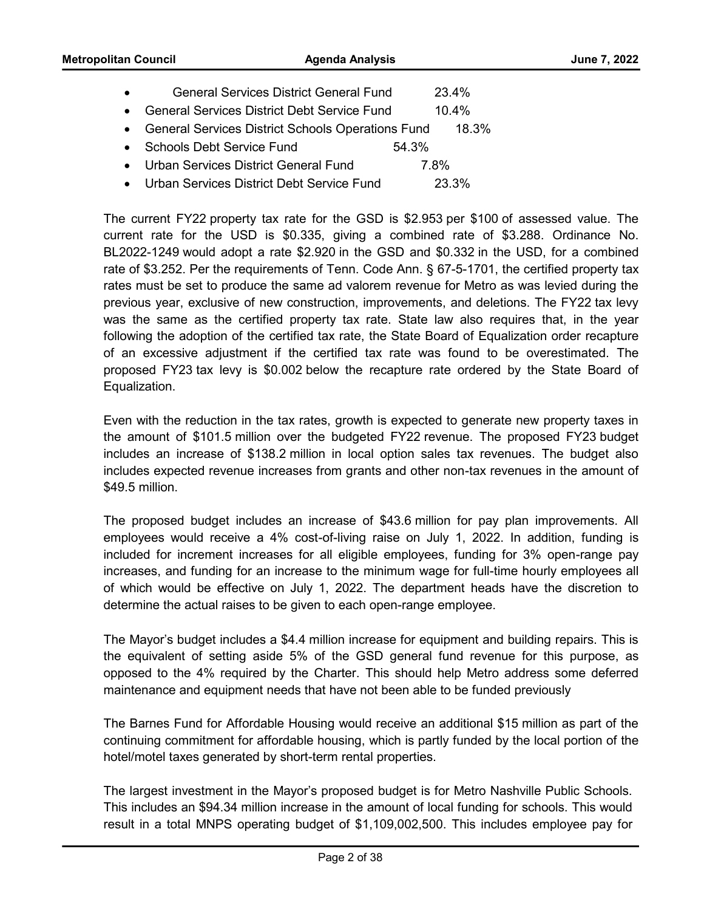- General Services District Debt Service Fund 10.4%
- · General Services District Schools Operations Fund 18.3%
- Schools Debt Service Fund 54.3%
- · Urban Services District General Fund 7.8%
- · Urban Services District Debt Service Fund 23.3%

The current FY22 property tax rate for the GSD is \$2.953 per \$100 of assessed value. The current rate for the USD is \$0.335, giving a combined rate of \$3.288. Ordinance No. BL2022-1249 would adopt a rate \$2.920 in the GSD and \$0.332 in the USD, for a combined rate of \$3.252. Per the requirements of Tenn. Code Ann. § 67-5-1701, the certified property tax rates must be set to produce the same ad valorem revenue for Metro as was levied during the previous year, exclusive of new construction, improvements, and deletions. The FY22 tax levy was the same as the certified property tax rate. State law also requires that, in the year following the adoption of the certified tax rate, the State Board of Equalization order recapture of an excessive adjustment if the certified tax rate was found to be overestimated. The proposed FY23 tax levy is \$0.002 below the recapture rate ordered by the State Board of Equalization.

Even with the reduction in the tax rates, growth is expected to generate new property taxes in the amount of \$101.5 million over the budgeted FY22 revenue. The proposed FY23 budget includes an increase of \$138.2 million in local option sales tax revenues. The budget also includes expected revenue increases from grants and other non-tax revenues in the amount of \$49.5 million.

The proposed budget includes an increase of \$43.6 million for pay plan improvements. All employees would receive a 4% cost-of-living raise on July 1, 2022. In addition, funding is included for increment increases for all eligible employees, funding for 3% open-range pay increases, and funding for an increase to the minimum wage for full-time hourly employees all of which would be effective on July 1, 2022. The department heads have the discretion to determine the actual raises to be given to each open-range employee.

The Mayor's budget includes a \$4.4 million increase for equipment and building repairs. This is the equivalent of setting aside 5% of the GSD general fund revenue for this purpose, as opposed to the 4% required by the Charter. This should help Metro address some deferred maintenance and equipment needs that have not been able to be funded previously

The Barnes Fund for Affordable Housing would receive an additional \$15 million as part of the continuing commitment for affordable housing, which is partly funded by the local portion of the hotel/motel taxes generated by short-term rental properties.

The largest investment in the Mayor's proposed budget is for Metro Nashville Public Schools. This includes an \$94.34 million increase in the amount of local funding for schools. This would result in a total MNPS operating budget of \$1,109,002,500. This includes employee pay for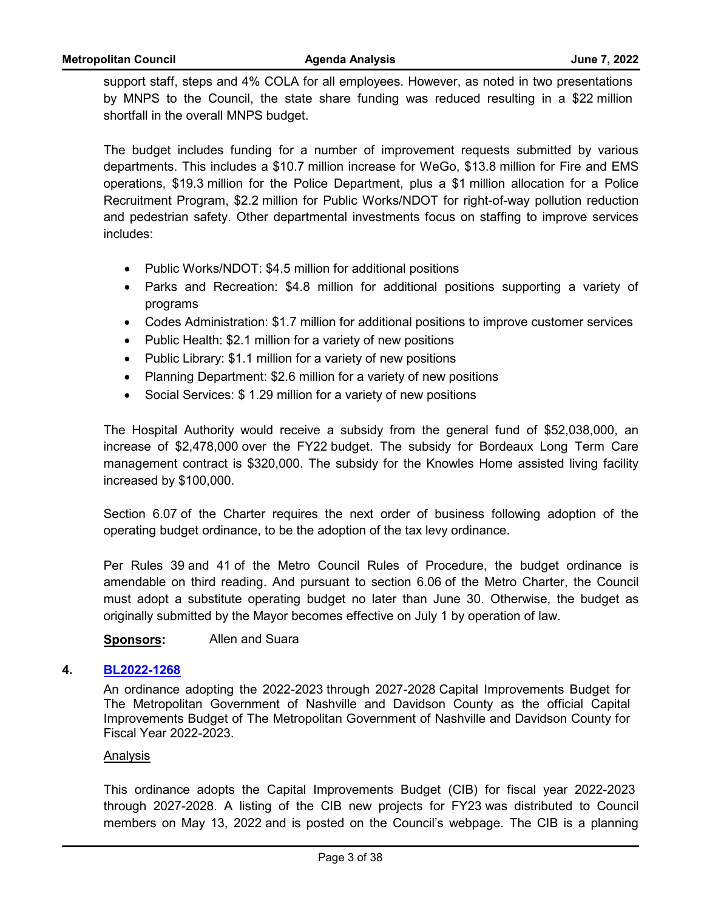support staff, steps and 4% COLA for all employees. However, as noted in two presentations by MNPS to the Council, the state share funding was reduced resulting in a \$22 million shortfall in the overall MNPS budget.

The budget includes funding for a number of improvement requests submitted by various departments. This includes a \$10.7 million increase for WeGo, \$13.8 million for Fire and EMS operations, \$19.3 million for the Police Department, plus a \$1 million allocation for a Police Recruitment Program, \$2.2 million for Public Works/NDOT for right-of-way pollution reduction and pedestrian safety. Other departmental investments focus on staffing to improve services includes:

- · Public Works/NDOT: \$4.5 million for additional positions
- · Parks and Recreation: \$4.8 million for additional positions supporting a variety of programs
- · Codes Administration: \$1.7 million for additional positions to improve customer services
- Public Health: \$2.1 million for a variety of new positions
- Public Library: \$1.1 million for a variety of new positions
- Planning Department: \$2.6 million for a variety of new positions
- Social Services: \$1.29 million for a variety of new positions

The Hospital Authority would receive a subsidy from the general fund of \$52,038,000, an increase of \$2,478,000 over the FY22 budget. The subsidy for Bordeaux Long Term Care management contract is \$320,000. The subsidy for the Knowles Home assisted living facility increased by \$100,000.

Section 6.07 of the Charter requires the next order of business following adoption of the operating budget ordinance, to be the adoption of the tax levy ordinance.

Per Rules 39 and 41 of the Metro Council Rules of Procedure, the budget ordinance is amendable on third reading. And pursuant to section 6.06 of the Metro Charter, the Council must adopt a substitute operating budget no later than June 30. Otherwise, the budget as originally submitted by the Mayor becomes effective on July 1 by operation of law.

**Sponsors:** Allen and Suara

# **4. [BL2022-1268](http://nashville.legistar.com/gateway.aspx?m=l&id=/matter.aspx?key=14516)**

An ordinance adopting the 2022-2023 through 2027-2028 Capital Improvements Budget for The Metropolitan Government of Nashville and Davidson County as the official Capital Improvements Budget of The Metropolitan Government of Nashville and Davidson County for Fiscal Year 2022-2023.

# Analysis

This ordinance adopts the Capital Improvements Budget (CIB) for fiscal year 2022-2023 through 2027-2028. A listing of the CIB new projects for FY23 was distributed to Council members on May 13, 2022 and is posted on the Council's webpage. The CIB is a planning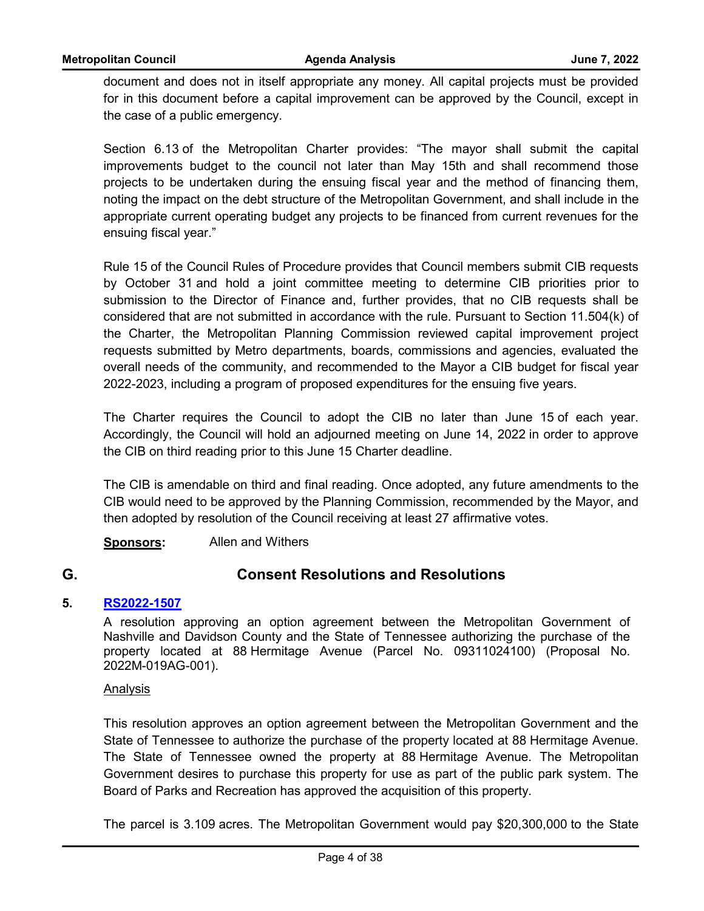**Metropolitan Council Agenda Analysis June 7, 2022**

document and does not in itself appropriate any money. All capital projects must be provided for in this document before a capital improvement can be approved by the Council, except in the case of a public emergency.

Section 6.13 of the Metropolitan Charter provides: "The mayor shall submit the capital improvements budget to the council not later than May 15th and shall recommend those projects to be undertaken during the ensuing fiscal year and the method of financing them, noting the impact on the debt structure of the Metropolitan Government, and shall include in the appropriate current operating budget any projects to be financed from current revenues for the ensuing fiscal year."

Rule 15 of the Council Rules of Procedure provides that Council members submit CIB requests by October 31 and hold a joint committee meeting to determine CIB priorities prior to submission to the Director of Finance and, further provides, that no CIB requests shall be considered that are not submitted in accordance with the rule. Pursuant to Section 11.504(k) of the Charter, the Metropolitan Planning Commission reviewed capital improvement project requests submitted by Metro departments, boards, commissions and agencies, evaluated the overall needs of the community, and recommended to the Mayor a CIB budget for fiscal year 2022-2023, including a program of proposed expenditures for the ensuing five years.

The Charter requires the Council to adopt the CIB no later than June 15 of each year. Accordingly, the Council will hold an adjourned meeting on June 14, 2022 in order to approve the CIB on third reading prior to this June 15 Charter deadline.

The CIB is amendable on third and final reading. Once adopted, any future amendments to the CIB would need to be approved by the Planning Commission, recommended by the Mayor, and then adopted by resolution of the Council receiving at least 27 affirmative votes.

**Sponsors:** Allen and Withers

# **G. Consent Resolutions and Resolutions**

# **5. [RS2022-1507](http://nashville.legistar.com/gateway.aspx?m=l&id=/matter.aspx?key=14404)**

A resolution approving an option agreement between the Metropolitan Government of Nashville and Davidson County and the State of Tennessee authorizing the purchase of the property located at 88 Hermitage Avenue (Parcel No. 09311024100) (Proposal No. 2022M-019AG-001).

# Analysis

This resolution approves an option agreement between the Metropolitan Government and the State of Tennessee to authorize the purchase of the property located at 88 Hermitage Avenue. The State of Tennessee owned the property at 88 Hermitage Avenue. The Metropolitan Government desires to purchase this property for use as part of the public park system. The Board of Parks and Recreation has approved the acquisition of this property.

The parcel is 3.109 acres. The Metropolitan Government would pay \$20,300,000 to the State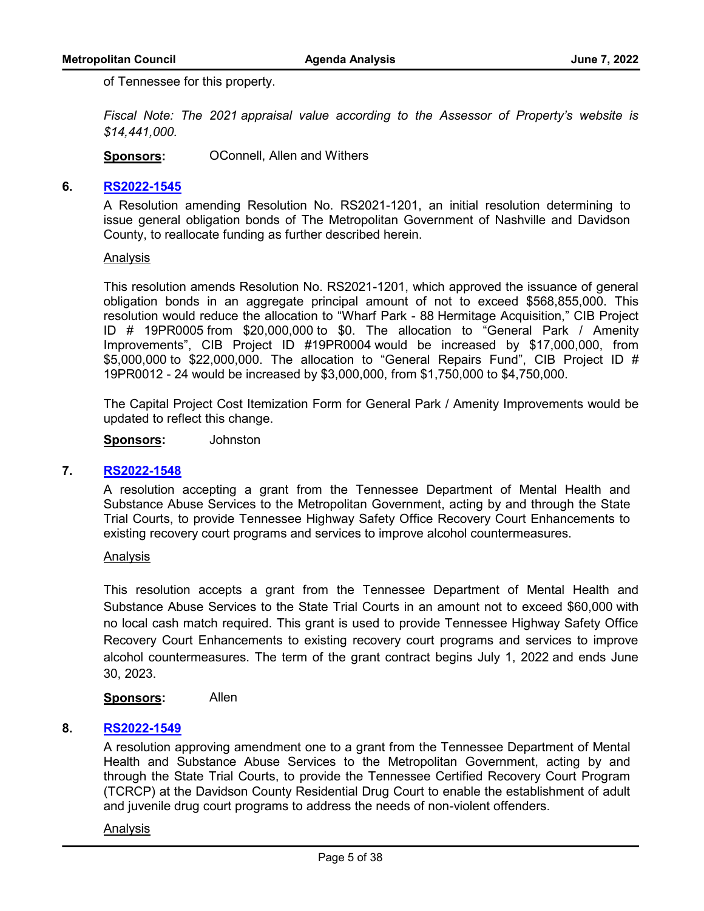of Tennessee for this property.

*Fiscal Note: The 2021 appraisal value according to the Assessor of Property's website is \$14,441,000.*

**Sponsors:** OConnell, Allen and Withers

# **6. [RS2022-1545](http://nashville.legistar.com/gateway.aspx?m=l&id=/matter.aspx?key=14518)**

A Resolution amending Resolution No. RS2021-1201, an initial resolution determining to issue general obligation bonds of The Metropolitan Government of Nashville and Davidson County, to reallocate funding as further described herein.

#### Analysis

This resolution amends Resolution No. RS2021-1201, which approved the issuance of general obligation bonds in an aggregate principal amount of not to exceed \$568,855,000. This resolution would reduce the allocation to "Wharf Park - 88 Hermitage Acquisition," CIB Project ID # 19PR0005 from \$20,000,000 to \$0. The allocation to "General Park / Amenity Improvements", CIB Project ID #19PR0004 would be increased by \$17,000,000, from \$5,000,000 to \$22,000,000. The allocation to "General Repairs Fund", CIB Project ID # 19PR0012 - 24 would be increased by \$3,000,000, from \$1,750,000 to \$4,750,000.

The Capital Project Cost Itemization Form for General Park / Amenity Improvements would be updated to reflect this change.

**Sponsors:** Johnston

#### **7. [RS2022-1548](http://nashville.legistar.com/gateway.aspx?m=l&id=/matter.aspx?key=14594)**

A resolution accepting a grant from the Tennessee Department of Mental Health and Substance Abuse Services to the Metropolitan Government, acting by and through the State Trial Courts, to provide Tennessee Highway Safety Office Recovery Court Enhancements to existing recovery court programs and services to improve alcohol countermeasures.

#### Analysis

This resolution accepts a grant from the Tennessee Department of Mental Health and Substance Abuse Services to the State Trial Courts in an amount not to exceed \$60,000 with no local cash match required. This grant is used to provide Tennessee Highway Safety Office Recovery Court Enhancements to existing recovery court programs and services to improve alcohol countermeasures. The term of the grant contract begins July 1, 2022 and ends June 30, 2023.

**Sponsors:** Allen

## **8. [RS2022-1549](http://nashville.legistar.com/gateway.aspx?m=l&id=/matter.aspx?key=14551)**

A resolution approving amendment one to a grant from the Tennessee Department of Mental Health and Substance Abuse Services to the Metropolitan Government, acting by and through the State Trial Courts, to provide the Tennessee Certified Recovery Court Program (TCRCP) at the Davidson County Residential Drug Court to enable the establishment of adult and juvenile drug court programs to address the needs of non-violent offenders.

#### Analysis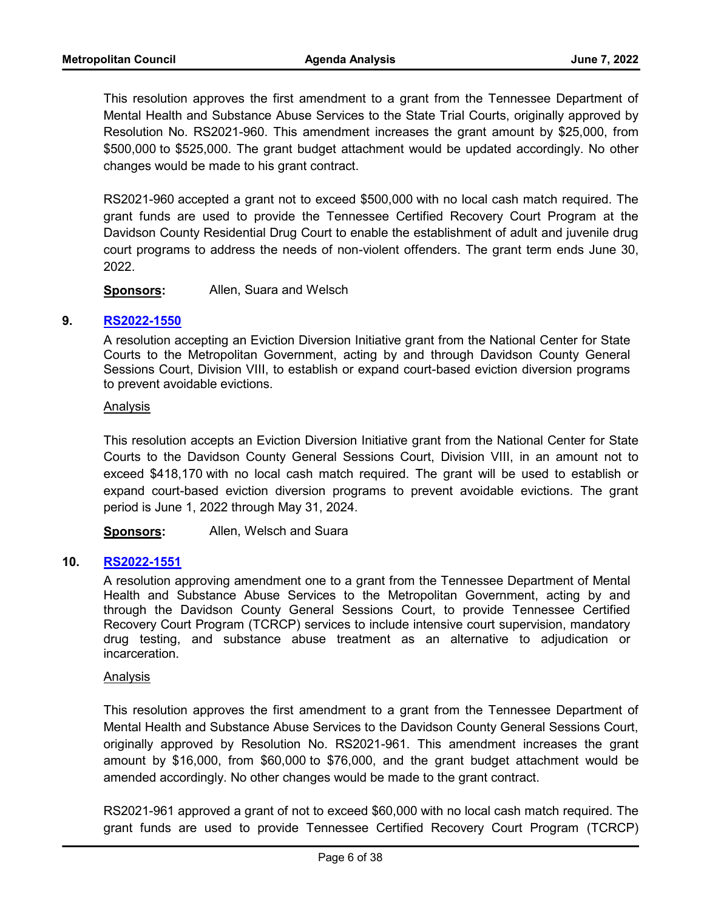This resolution approves the first amendment to a grant from the Tennessee Department of Mental Health and Substance Abuse Services to the State Trial Courts, originally approved by Resolution No. RS2021-960. This amendment increases the grant amount by \$25,000, from \$500,000 to \$525,000. The grant budget attachment would be updated accordingly. No other changes would be made to his grant contract.

RS2021-960 accepted a grant not to exceed \$500,000 with no local cash match required. The grant funds are used to provide the Tennessee Certified Recovery Court Program at the Davidson County Residential Drug Court to enable the establishment of adult and juvenile drug court programs to address the needs of non-violent offenders. The grant term ends June 30, 2022.

**Sponsors:** Allen, Suara and Welsch

# **9. [RS2022-1550](http://nashville.legistar.com/gateway.aspx?m=l&id=/matter.aspx?key=14592)**

A resolution accepting an Eviction Diversion Initiative grant from the National Center for State Courts to the Metropolitan Government, acting by and through Davidson County General Sessions Court, Division VIII, to establish or expand court-based eviction diversion programs to prevent avoidable evictions.

#### Analysis

This resolution accepts an Eviction Diversion Initiative grant from the National Center for State Courts to the Davidson County General Sessions Court, Division VIII, in an amount not to exceed \$418,170 with no local cash match required. The grant will be used to establish or expand court-based eviction diversion programs to prevent avoidable evictions. The grant period is June 1, 2022 through May 31, 2024.

**Sponsors:** Allen, Welsch and Suara

# **10. [RS2022-1551](http://nashville.legistar.com/gateway.aspx?m=l&id=/matter.aspx?key=14590)**

A resolution approving amendment one to a grant from the Tennessee Department of Mental Health and Substance Abuse Services to the Metropolitan Government, acting by and through the Davidson County General Sessions Court, to provide Tennessee Certified Recovery Court Program (TCRCP) services to include intensive court supervision, mandatory drug testing, and substance abuse treatment as an alternative to adjudication or incarceration.

#### Analysis

This resolution approves the first amendment to a grant from the Tennessee Department of Mental Health and Substance Abuse Services to the Davidson County General Sessions Court, originally approved by Resolution No. RS2021-961. This amendment increases the grant amount by \$16,000, from \$60,000 to \$76,000, and the grant budget attachment would be amended accordingly. No other changes would be made to the grant contract.

RS2021-961 approved a grant of not to exceed \$60,000 with no local cash match required. The grant funds are used to provide Tennessee Certified Recovery Court Program (TCRCP)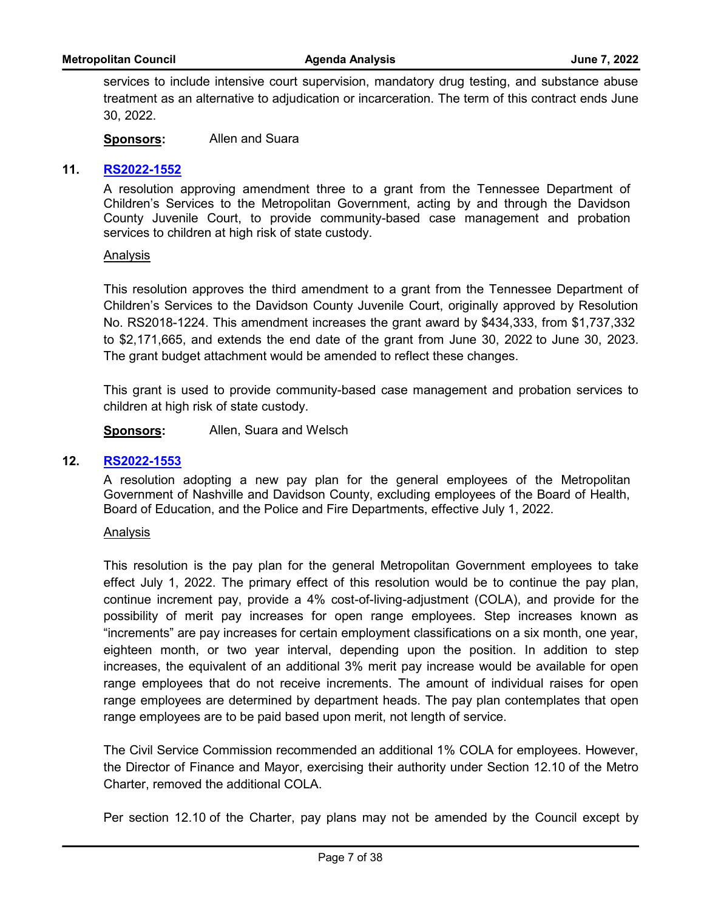services to include intensive court supervision, mandatory drug testing, and substance abuse treatment as an alternative to adjudication or incarceration. The term of this contract ends June 30, 2022.

**Sponsors:** Allen and Suara

# **11. [RS2022-1552](http://nashville.legistar.com/gateway.aspx?m=l&id=/matter.aspx?key=14611)**

A resolution approving amendment three to a grant from the Tennessee Department of Children's Services to the Metropolitan Government, acting by and through the Davidson County Juvenile Court, to provide community-based case management and probation services to children at high risk of state custody.

#### Analysis

This resolution approves the third amendment to a grant from the Tennessee Department of Children's Services to the Davidson County Juvenile Court, originally approved by Resolution No. RS2018-1224. This amendment increases the grant award by \$434,333, from \$1,737,332 to \$2,171,665, and extends the end date of the grant from June 30, 2022 to June 30, 2023. The grant budget attachment would be amended to reflect these changes.

This grant is used to provide community-based case management and probation services to children at high risk of state custody.

**Sponsors:** Allen, Suara and Welsch

#### **12. [RS2022-1553](http://nashville.legistar.com/gateway.aspx?m=l&id=/matter.aspx?key=14587)**

A resolution adopting a new pay plan for the general employees of the Metropolitan Government of Nashville and Davidson County, excluding employees of the Board of Health, Board of Education, and the Police and Fire Departments, effective July 1, 2022.

#### Analysis

This resolution is the pay plan for the general Metropolitan Government employees to take effect July 1, 2022. The primary effect of this resolution would be to continue the pay plan, continue increment pay, provide a 4% cost-of-living-adjustment (COLA), and provide for the possibility of merit pay increases for open range employees. Step increases known as "increments" are pay increases for certain employment classifications on a six month, one year, eighteen month, or two year interval, depending upon the position. In addition to step increases, the equivalent of an additional 3% merit pay increase would be available for open range employees that do not receive increments. The amount of individual raises for open range employees are determined by department heads. The pay plan contemplates that open range employees are to be paid based upon merit, not length of service.

The Civil Service Commission recommended an additional 1% COLA for employees. However, the Director of Finance and Mayor, exercising their authority under Section 12.10 of the Metro Charter, removed the additional COLA.

Per section 12.10 of the Charter, pay plans may not be amended by the Council except by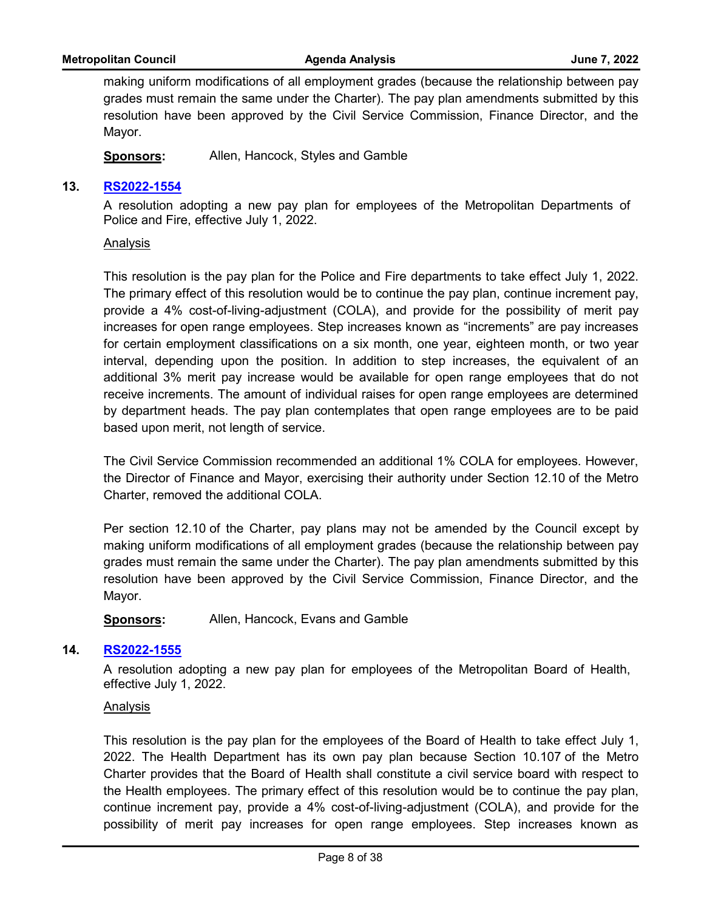making uniform modifications of all employment grades (because the relationship between pay grades must remain the same under the Charter). The pay plan amendments submitted by this resolution have been approved by the Civil Service Commission, Finance Director, and the Mayor.

**Sponsors:** Allen, Hancock, Styles and Gamble

# **13. [RS2022-1554](http://nashville.legistar.com/gateway.aspx?m=l&id=/matter.aspx?key=14588)**

A resolution adopting a new pay plan for employees of the Metropolitan Departments of Police and Fire, effective July 1, 2022.

#### Analysis

This resolution is the pay plan for the Police and Fire departments to take effect July 1, 2022. The primary effect of this resolution would be to continue the pay plan, continue increment pay, provide a 4% cost-of-living-adjustment (COLA), and provide for the possibility of merit pay increases for open range employees. Step increases known as "increments" are pay increases for certain employment classifications on a six month, one year, eighteen month, or two year interval, depending upon the position. In addition to step increases, the equivalent of an additional 3% merit pay increase would be available for open range employees that do not receive increments. The amount of individual raises for open range employees are determined by department heads. The pay plan contemplates that open range employees are to be paid based upon merit, not length of service.

The Civil Service Commission recommended an additional 1% COLA for employees. However, the Director of Finance and Mayor, exercising their authority under Section 12.10 of the Metro Charter, removed the additional COLA.

Per section 12.10 of the Charter, pay plans may not be amended by the Council except by making uniform modifications of all employment grades (because the relationship between pay grades must remain the same under the Charter). The pay plan amendments submitted by this resolution have been approved by the Civil Service Commission, Finance Director, and the Mayor.

**Sponsors:** Allen, Hancock, Evans and Gamble

# **14. [RS2022-1555](http://nashville.legistar.com/gateway.aspx?m=l&id=/matter.aspx?key=14589)**

A resolution adopting a new pay plan for employees of the Metropolitan Board of Health, effective July 1, 2022.

#### Analysis

This resolution is the pay plan for the employees of the Board of Health to take effect July 1, 2022. The Health Department has its own pay plan because Section 10.107 of the Metro Charter provides that the Board of Health shall constitute a civil service board with respect to the Health employees. The primary effect of this resolution would be to continue the pay plan, continue increment pay, provide a 4% cost-of-living-adjustment (COLA), and provide for the possibility of merit pay increases for open range employees. Step increases known as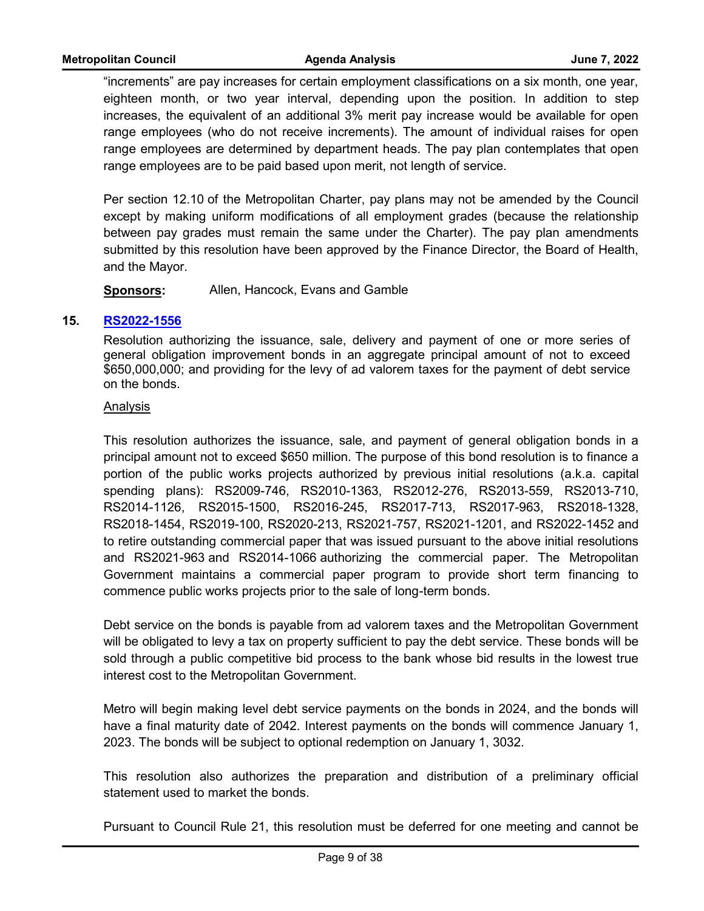"increments" are pay increases for certain employment classifications on a six month, one year, eighteen month, or two year interval, depending upon the position. In addition to step increases, the equivalent of an additional 3% merit pay increase would be available for open range employees (who do not receive increments). The amount of individual raises for open range employees are determined by department heads. The pay plan contemplates that open range employees are to be paid based upon merit, not length of service.

Per section 12.10 of the Metropolitan Charter, pay plans may not be amended by the Council except by making uniform modifications of all employment grades (because the relationship between pay grades must remain the same under the Charter). The pay plan amendments submitted by this resolution have been approved by the Finance Director, the Board of Health, and the Mayor.

**Sponsors:** Allen, Hancock, Evans and Gamble

# **15. [RS2022-1556](http://nashville.legistar.com/gateway.aspx?m=l&id=/matter.aspx?key=14606)**

Resolution authorizing the issuance, sale, delivery and payment of one or more series of general obligation improvement bonds in an aggregate principal amount of not to exceed \$650,000,000; and providing for the levy of ad valorem taxes for the payment of debt service on the bonds.

# Analysis

This resolution authorizes the issuance, sale, and payment of general obligation bonds in a principal amount not to exceed \$650 million. The purpose of this bond resolution is to finance a portion of the public works projects authorized by previous initial resolutions (a.k.a. capital spending plans): RS2009-746, RS2010-1363, RS2012-276, RS2013-559, RS2013-710, RS2014-1126, RS2015-1500, RS2016-245, RS2017-713, RS2017-963, RS2018-1328, RS2018-1454, RS2019-100, RS2020-213, RS2021-757, RS2021-1201, and RS2022-1452 and to retire outstanding commercial paper that was issued pursuant to the above initial resolutions and RS2021-963 and RS2014-1066 authorizing the commercial paper. The Metropolitan Government maintains a commercial paper program to provide short term financing to commence public works projects prior to the sale of long-term bonds.

Debt service on the bonds is payable from ad valorem taxes and the Metropolitan Government will be obligated to levy a tax on property sufficient to pay the debt service. These bonds will be sold through a public competitive bid process to the bank whose bid results in the lowest true interest cost to the Metropolitan Government.

Metro will begin making level debt service payments on the bonds in 2024, and the bonds will have a final maturity date of 2042. Interest payments on the bonds will commence January 1, 2023. The bonds will be subject to optional redemption on January 1, 3032.

This resolution also authorizes the preparation and distribution of a preliminary official statement used to market the bonds.

Pursuant to Council Rule 21, this resolution must be deferred for one meeting and cannot be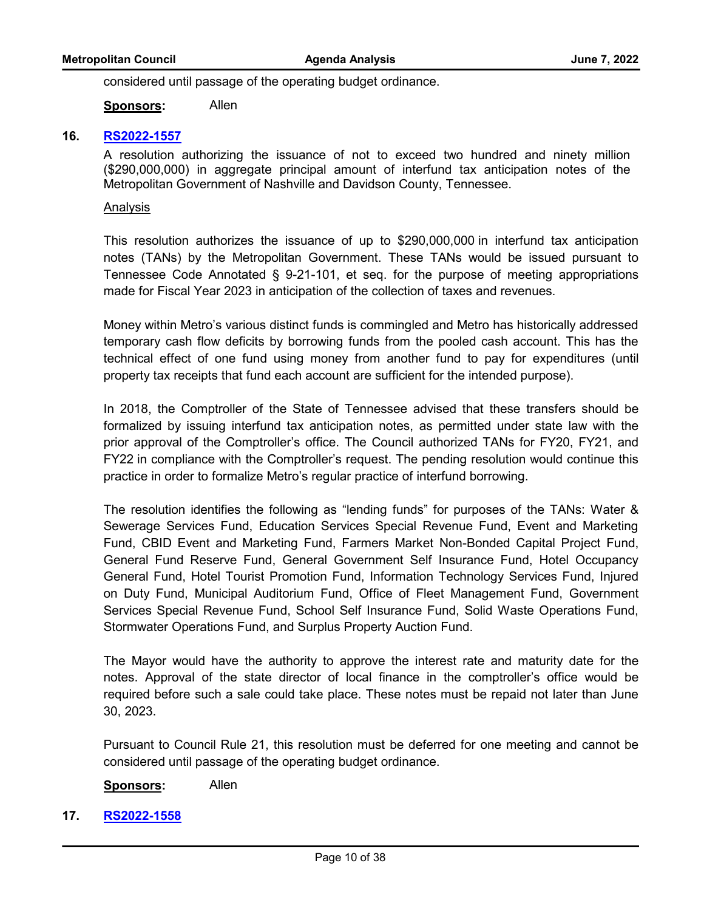considered until passage of the operating budget ordinance.

**Sponsors:** Allen

# **16. [RS2022-1557](http://nashville.legistar.com/gateway.aspx?m=l&id=/matter.aspx?key=14599)**

A resolution authorizing the issuance of not to exceed two hundred and ninety million (\$290,000,000) in aggregate principal amount of interfund tax anticipation notes of the Metropolitan Government of Nashville and Davidson County, Tennessee.

## Analysis

This resolution authorizes the issuance of up to \$290,000,000 in interfund tax anticipation notes (TANs) by the Metropolitan Government. These TANs would be issued pursuant to Tennessee Code Annotated § 9-21-101, et seq. for the purpose of meeting appropriations made for Fiscal Year 2023 in anticipation of the collection of taxes and revenues.

Money within Metro's various distinct funds is commingled and Metro has historically addressed temporary cash flow deficits by borrowing funds from the pooled cash account. This has the technical effect of one fund using money from another fund to pay for expenditures (until property tax receipts that fund each account are sufficient for the intended purpose).

In 2018, the Comptroller of the State of Tennessee advised that these transfers should be formalized by issuing interfund tax anticipation notes, as permitted under state law with the prior approval of the Comptroller's office. The Council authorized TANs for FY20, FY21, and FY22 in compliance with the Comptroller's request. The pending resolution would continue this practice in order to formalize Metro's regular practice of interfund borrowing.

The resolution identifies the following as "lending funds" for purposes of the TANs: Water & Sewerage Services Fund, Education Services Special Revenue Fund, Event and Marketing Fund, CBID Event and Marketing Fund, Farmers Market Non-Bonded Capital Project Fund, General Fund Reserve Fund, General Government Self Insurance Fund, Hotel Occupancy General Fund, Hotel Tourist Promotion Fund, Information Technology Services Fund, Injured on Duty Fund, Municipal Auditorium Fund, Office of Fleet Management Fund, Government Services Special Revenue Fund, School Self Insurance Fund, Solid Waste Operations Fund, Stormwater Operations Fund, and Surplus Property Auction Fund.

The Mayor would have the authority to approve the interest rate and maturity date for the notes. Approval of the state director of local finance in the comptroller's office would be required before such a sale could take place. These notes must be repaid not later than June 30, 2023.

Pursuant to Council Rule 21, this resolution must be deferred for one meeting and cannot be considered until passage of the operating budget ordinance.

**Sponsors:** Allen

**17. [RS2022-1558](http://nashville.legistar.com/gateway.aspx?m=l&id=/matter.aspx?key=14579)**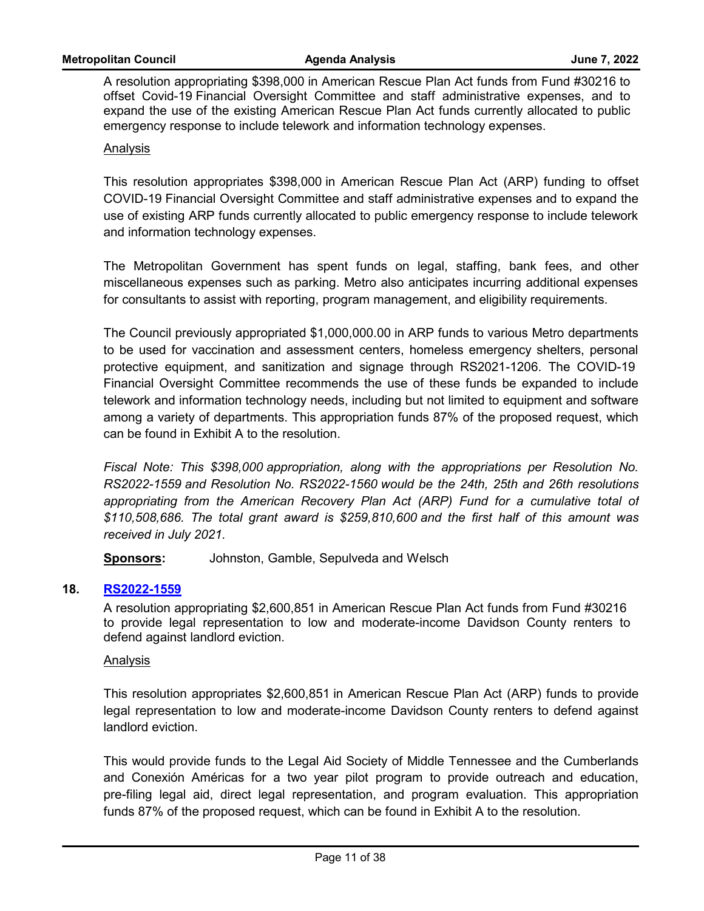A resolution appropriating \$398,000 in American Rescue Plan Act funds from Fund #30216 to offset Covid-19 Financial Oversight Committee and staff administrative expenses, and to expand the use of the existing American Rescue Plan Act funds currently allocated to public emergency response to include telework and information technology expenses.

# Analysis

This resolution appropriates \$398,000 in American Rescue Plan Act (ARP) funding to offset COVID-19 Financial Oversight Committee and staff administrative expenses and to expand the use of existing ARP funds currently allocated to public emergency response to include telework and information technology expenses.

The Metropolitan Government has spent funds on legal, staffing, bank fees, and other miscellaneous expenses such as parking. Metro also anticipates incurring additional expenses for consultants to assist with reporting, program management, and eligibility requirements.

The Council previously appropriated \$1,000,000.00 in ARP funds to various Metro departments to be used for vaccination and assessment centers, homeless emergency shelters, personal protective equipment, and sanitization and signage through RS2021-1206. The COVID-19 Financial Oversight Committee recommends the use of these funds be expanded to include telework and information technology needs, including but not limited to equipment and software among a variety of departments. This appropriation funds 87% of the proposed request, which can be found in Exhibit A to the resolution.

*Fiscal Note: This \$398,000 appropriation, along with the appropriations per Resolution No. RS2022-1559 and Resolution No. RS2022-1560 would be the 24th, 25th and 26th resolutions*  appropriating from the American Recovery Plan Act (ARP) Fund for a cumulative total of *\$110,508,686. The total grant award is \$259,810,600 and the first half of this amount was received in July 2021.*

**Sponsors:** Johnston, Gamble, Sepulveda and Welsch

# **18. [RS2022-1559](http://nashville.legistar.com/gateway.aspx?m=l&id=/matter.aspx?key=14578)**

A resolution appropriating \$2,600,851 in American Rescue Plan Act funds from Fund #30216 to provide legal representation to low and moderate-income Davidson County renters to defend against landlord eviction.

#### Analysis

This resolution appropriates \$2,600,851 in American Rescue Plan Act (ARP) funds to provide legal representation to low and moderate-income Davidson County renters to defend against landlord eviction.

This would provide funds to the Legal Aid Society of Middle Tennessee and the Cumberlands and Conexión Américas for a two year pilot program to provide outreach and education, pre-filing legal aid, direct legal representation, and program evaluation. This appropriation funds 87% of the proposed request, which can be found in Exhibit A to the resolution.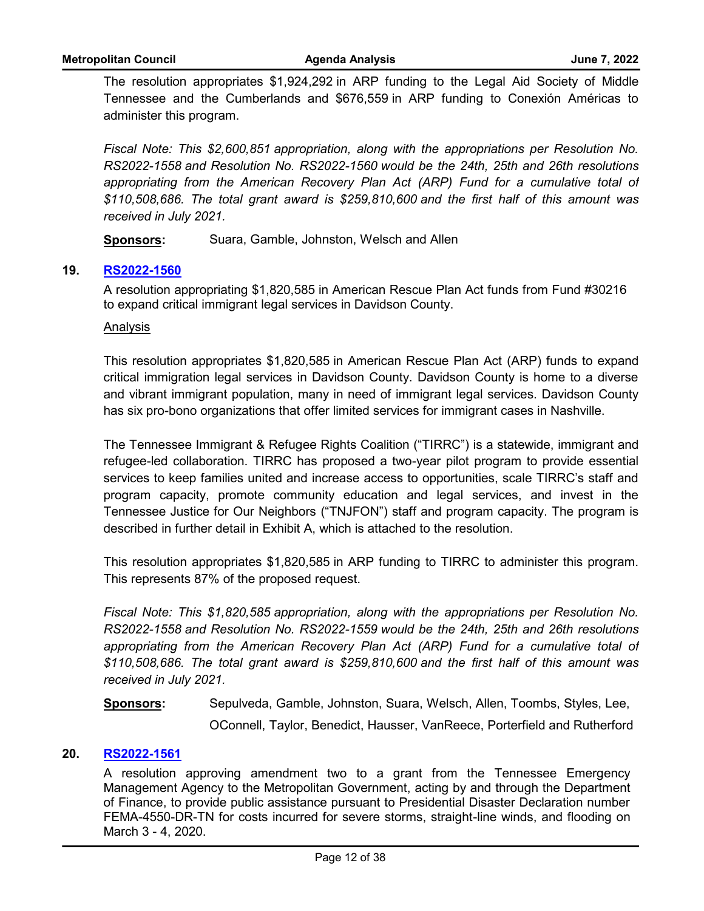The resolution appropriates \$1,924,292 in ARP funding to the Legal Aid Society of Middle Tennessee and the Cumberlands and \$676,559 in ARP funding to Conexión Américas to administer this program.

*Fiscal Note: This \$2,600,851 appropriation, along with the appropriations per Resolution No. RS2022-1558 and Resolution No. RS2022-1560 would be the 24th, 25th and 26th resolutions*  appropriating from the American Recovery Plan Act (ARP) Fund for a cumulative total of *\$110,508,686. The total grant award is \$259,810,600 and the first half of this amount was received in July 2021.*

**Sponsors:** Suara, Gamble, Johnston, Welsch and Allen

# **19. [RS2022-1560](http://nashville.legistar.com/gateway.aspx?m=l&id=/matter.aspx?key=14597)**

A resolution appropriating \$1,820,585 in American Rescue Plan Act funds from Fund #30216 to expand critical immigrant legal services in Davidson County.

#### Analysis

This resolution appropriates \$1,820,585 in American Rescue Plan Act (ARP) funds to expand critical immigration legal services in Davidson County. Davidson County is home to a diverse and vibrant immigrant population, many in need of immigrant legal services. Davidson County has six pro-bono organizations that offer limited services for immigrant cases in Nashville.

The Tennessee Immigrant & Refugee Rights Coalition ("TIRRC") is a statewide, immigrant and refugee-led collaboration. TIRRC has proposed a two-year pilot program to provide essential services to keep families united and increase access to opportunities, scale TIRRC's staff and program capacity, promote community education and legal services, and invest in the Tennessee Justice for Our Neighbors ("TNJFON") staff and program capacity. The program is described in further detail in Exhibit A, which is attached to the resolution.

This resolution appropriates \$1,820,585 in ARP funding to TIRRC to administer this program. This represents 87% of the proposed request.

*Fiscal Note: This \$1,820,585 appropriation, along with the appropriations per Resolution No. RS2022-1558 and Resolution No. RS2022-1559 would be the 24th, 25th and 26th resolutions*  appropriating from the American Recovery Plan Act (ARP) Fund for a cumulative total of *\$110,508,686. The total grant award is \$259,810,600 and the first half of this amount was received in July 2021.*

**Sponsors:** Sepulveda, Gamble, Johnston, Suara, Welsch, Allen, Toombs, Styles, Lee,

OConnell, Taylor, Benedict, Hausser, VanReece, Porterfield and Rutherford

# **20. [RS2022-1561](http://nashville.legistar.com/gateway.aspx?m=l&id=/matter.aspx?key=14593)**

A resolution approving amendment two to a grant from the Tennessee Emergency Management Agency to the Metropolitan Government, acting by and through the Department of Finance, to provide public assistance pursuant to Presidential Disaster Declaration number FEMA-4550-DR-TN for costs incurred for severe storms, straight-line winds, and flooding on March 3 - 4, 2020.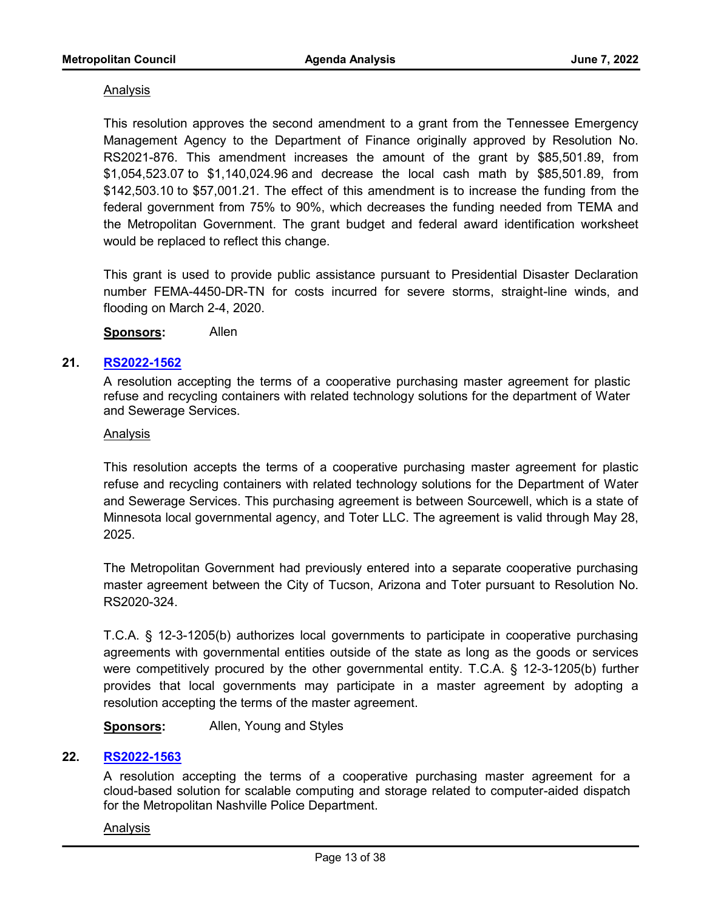# Analysis

This resolution approves the second amendment to a grant from the Tennessee Emergency Management Agency to the Department of Finance originally approved by Resolution No. RS2021-876. This amendment increases the amount of the grant by \$85,501.89, from \$1,054,523.07 to \$1,140,024.96 and decrease the local cash math by \$85,501.89, from \$142,503.10 to \$57,001.21. The effect of this amendment is to increase the funding from the federal government from 75% to 90%, which decreases the funding needed from TEMA and the Metropolitan Government. The grant budget and federal award identification worksheet would be replaced to reflect this change.

This grant is used to provide public assistance pursuant to Presidential Disaster Declaration number FEMA-4450-DR-TN for costs incurred for severe storms, straight-line winds, and flooding on March 2-4, 2020.

**Sponsors:** Allen

# **21. [RS2022-1562](http://nashville.legistar.com/gateway.aspx?m=l&id=/matter.aspx?key=14577)**

A resolution accepting the terms of a cooperative purchasing master agreement for plastic refuse and recycling containers with related technology solutions for the department of Water and Sewerage Services.

#### Analysis

This resolution accepts the terms of a cooperative purchasing master agreement for plastic refuse and recycling containers with related technology solutions for the Department of Water and Sewerage Services. This purchasing agreement is between Sourcewell, which is a state of Minnesota local governmental agency, and Toter LLC. The agreement is valid through May 28, 2025.

The Metropolitan Government had previously entered into a separate cooperative purchasing master agreement between the City of Tucson, Arizona and Toter pursuant to Resolution No. RS2020-324.

T.C.A. § 12-3-1205(b) authorizes local governments to participate in cooperative purchasing agreements with governmental entities outside of the state as long as the goods or services were competitively procured by the other governmental entity. T.C.A. § 12-3-1205(b) further provides that local governments may participate in a master agreement by adopting a resolution accepting the terms of the master agreement.

**Sponsors:** Allen, Young and Styles

#### **22. [RS2022-1563](http://nashville.legistar.com/gateway.aspx?m=l&id=/matter.aspx?key=14600)**

A resolution accepting the terms of a cooperative purchasing master agreement for a cloud-based solution for scalable computing and storage related to computer-aided dispatch for the Metropolitan Nashville Police Department.

#### Analysis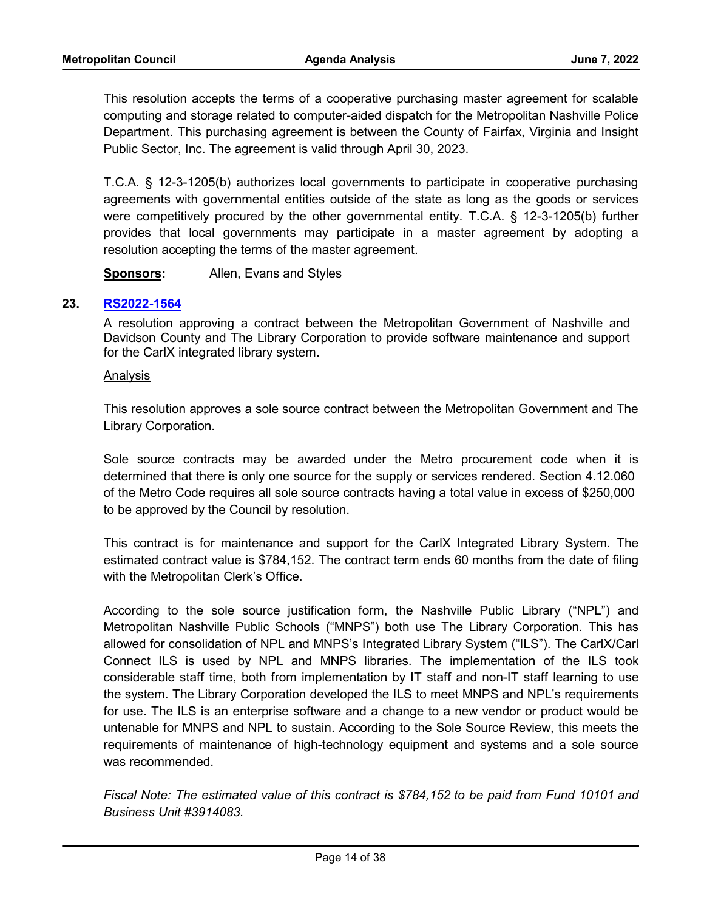This resolution accepts the terms of a cooperative purchasing master agreement for scalable computing and storage related to computer-aided dispatch for the Metropolitan Nashville Police Department. This purchasing agreement is between the County of Fairfax, Virginia and Insight Public Sector, Inc. The agreement is valid through April 30, 2023.

T.C.A. § 12-3-1205(b) authorizes local governments to participate in cooperative purchasing agreements with governmental entities outside of the state as long as the goods or services were competitively procured by the other governmental entity. T.C.A. § 12-3-1205(b) further provides that local governments may participate in a master agreement by adopting a resolution accepting the terms of the master agreement.

**Sponsors:** Allen, Evans and Styles

# **23. [RS2022-1564](http://nashville.legistar.com/gateway.aspx?m=l&id=/matter.aspx?key=14582)**

A resolution approving a contract between the Metropolitan Government of Nashville and Davidson County and The Library Corporation to provide software maintenance and support for the CarlX integrated library system.

#### Analysis

This resolution approves a sole source contract between the Metropolitan Government and The Library Corporation.

Sole source contracts may be awarded under the Metro procurement code when it is determined that there is only one source for the supply or services rendered. Section 4.12.060 of the Metro Code requires all sole source contracts having a total value in excess of \$250,000 to be approved by the Council by resolution.

This contract is for maintenance and support for the CarlX Integrated Library System. The estimated contract value is \$784,152. The contract term ends 60 months from the date of filing with the Metropolitan Clerk's Office.

According to the sole source justification form, the Nashville Public Library ("NPL") and Metropolitan Nashville Public Schools ("MNPS") both use The Library Corporation. This has allowed for consolidation of NPL and MNPS's Integrated Library System ("ILS"). The CarlX/Carl Connect ILS is used by NPL and MNPS libraries. The implementation of the ILS took considerable staff time, both from implementation by IT staff and non-IT staff learning to use the system. The Library Corporation developed the ILS to meet MNPS and NPL's requirements for use. The ILS is an enterprise software and a change to a new vendor or product would be untenable for MNPS and NPL to sustain. According to the Sole Source Review, this meets the requirements of maintenance of high-technology equipment and systems and a sole source was recommended.

*Fiscal Note: The estimated value of this contract is \$784,152 to be paid from Fund 10101 and Business Unit #3914083.*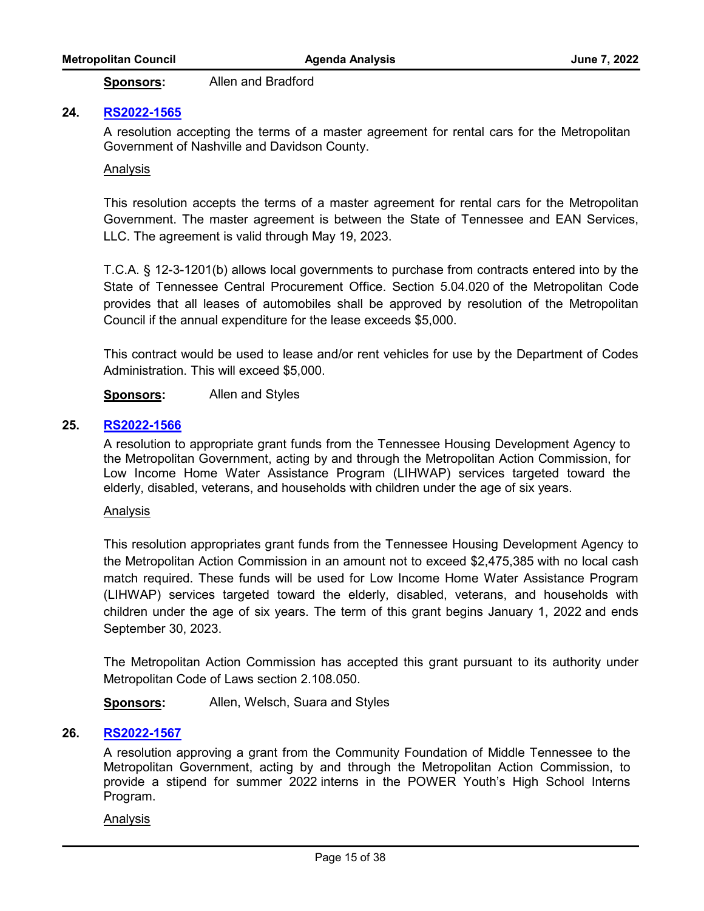**Sponsors:** Allen and Bradford

## **24. [RS2022-1565](http://nashville.legistar.com/gateway.aspx?m=l&id=/matter.aspx?key=14605)**

A resolution accepting the terms of a master agreement for rental cars for the Metropolitan Government of Nashville and Davidson County.

#### Analysis

This resolution accepts the terms of a master agreement for rental cars for the Metropolitan Government. The master agreement is between the State of Tennessee and EAN Services, LLC. The agreement is valid through May 19, 2023.

T.C.A. § 12-3-1201(b) allows local governments to purchase from contracts entered into by the State of Tennessee Central Procurement Office. Section 5.04.020 of the Metropolitan Code provides that all leases of automobiles shall be approved by resolution of the Metropolitan Council if the annual expenditure for the lease exceeds \$5,000.

This contract would be used to lease and/or rent vehicles for use by the Department of Codes Administration. This will exceed \$5,000.

**Sponsors:** Allen and Styles

#### **25. [RS2022-1566](http://nashville.legistar.com/gateway.aspx?m=l&id=/matter.aspx?key=14612)**

A resolution to appropriate grant funds from the Tennessee Housing Development Agency to the Metropolitan Government, acting by and through the Metropolitan Action Commission, for Low Income Home Water Assistance Program (LIHWAP) services targeted toward the elderly, disabled, veterans, and households with children under the age of six years.

#### Analysis

This resolution appropriates grant funds from the Tennessee Housing Development Agency to the Metropolitan Action Commission in an amount not to exceed \$2,475,385 with no local cash match required. These funds will be used for Low Income Home Water Assistance Program (LIHWAP) services targeted toward the elderly, disabled, veterans, and households with children under the age of six years. The term of this grant begins January 1, 2022 and ends September 30, 2023.

The Metropolitan Action Commission has accepted this grant pursuant to its authority under Metropolitan Code of Laws section 2.108.050.

**Sponsors:** Allen, Welsch, Suara and Styles

#### **26. [RS2022-1567](http://nashville.legistar.com/gateway.aspx?m=l&id=/matter.aspx?key=14610)**

A resolution approving a grant from the Community Foundation of Middle Tennessee to the Metropolitan Government, acting by and through the Metropolitan Action Commission, to provide a stipend for summer 2022 interns in the POWER Youth's High School Interns Program.

#### Analysis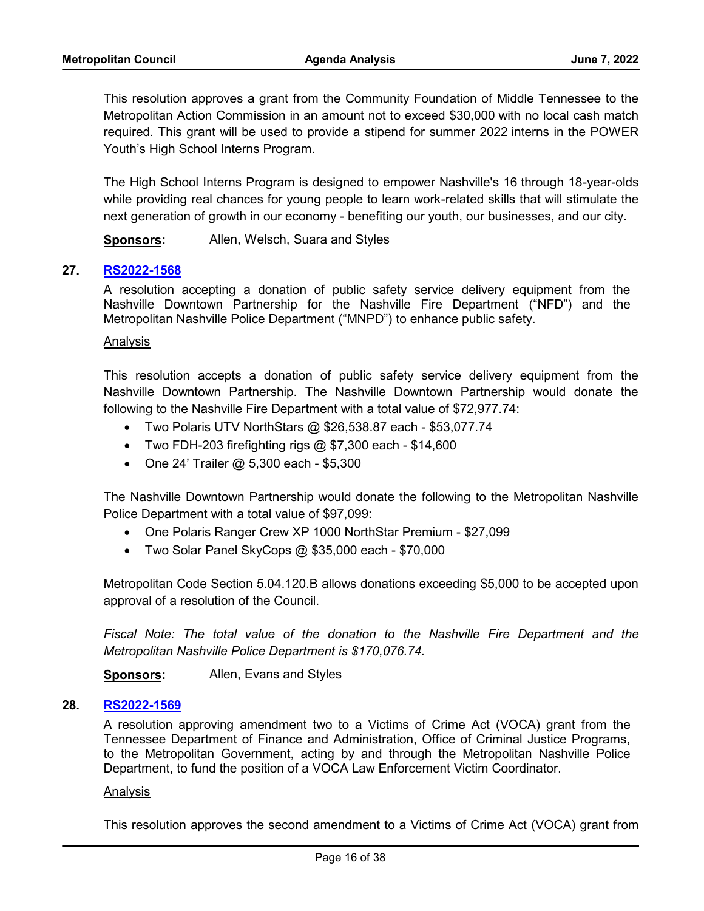This resolution approves a grant from the Community Foundation of Middle Tennessee to the Metropolitan Action Commission in an amount not to exceed \$30,000 with no local cash match required. This grant will be used to provide a stipend for summer 2022 interns in the POWER Youth's High School Interns Program.

The High School Interns Program is designed to empower Nashville's 16 through 18-year-olds while providing real chances for young people to learn work-related skills that will stimulate the next generation of growth in our economy - benefiting our youth, our businesses, and our city.

**Sponsors:** Allen, Welsch, Suara and Styles

# **27. [RS2022-1568](http://nashville.legistar.com/gateway.aspx?m=l&id=/matter.aspx?key=14586)**

A resolution accepting a donation of public safety service delivery equipment from the Nashville Downtown Partnership for the Nashville Fire Department ("NFD") and the Metropolitan Nashville Police Department ("MNPD") to enhance public safety.

#### Analysis

This resolution accepts a donation of public safety service delivery equipment from the Nashville Downtown Partnership. The Nashville Downtown Partnership would donate the following to the Nashville Fire Department with a total value of \$72,977.74:

- · Two Polaris UTV NorthStars @ \$26,538.87 each \$53,077.74
- Two FDH-203 firefighting rigs  $@$  \$7,300 each \$14,600
- · One 24' Trailer @ 5,300 each \$5,300

The Nashville Downtown Partnership would donate the following to the Metropolitan Nashville Police Department with a total value of \$97,099:

- One Polaris Ranger Crew XP 1000 NorthStar Premium \$27,099
- · Two Solar Panel SkyCops @ \$35,000 each \$70,000

Metropolitan Code Section 5.04.120.B allows donations exceeding \$5,000 to be accepted upon approval of a resolution of the Council.

*Fiscal Note: The total value of the donation to the Nashville Fire Department and the Metropolitan Nashville Police Department is \$170,076.74.* 

**Sponsors:** Allen, Evans and Styles

#### **28. [RS2022-1569](http://nashville.legistar.com/gateway.aspx?m=l&id=/matter.aspx?key=14595)**

A resolution approving amendment two to a Victims of Crime Act (VOCA) grant from the Tennessee Department of Finance and Administration, Office of Criminal Justice Programs, to the Metropolitan Government, acting by and through the Metropolitan Nashville Police Department, to fund the position of a VOCA Law Enforcement Victim Coordinator.

#### Analysis

This resolution approves the second amendment to a Victims of Crime Act (VOCA) grant from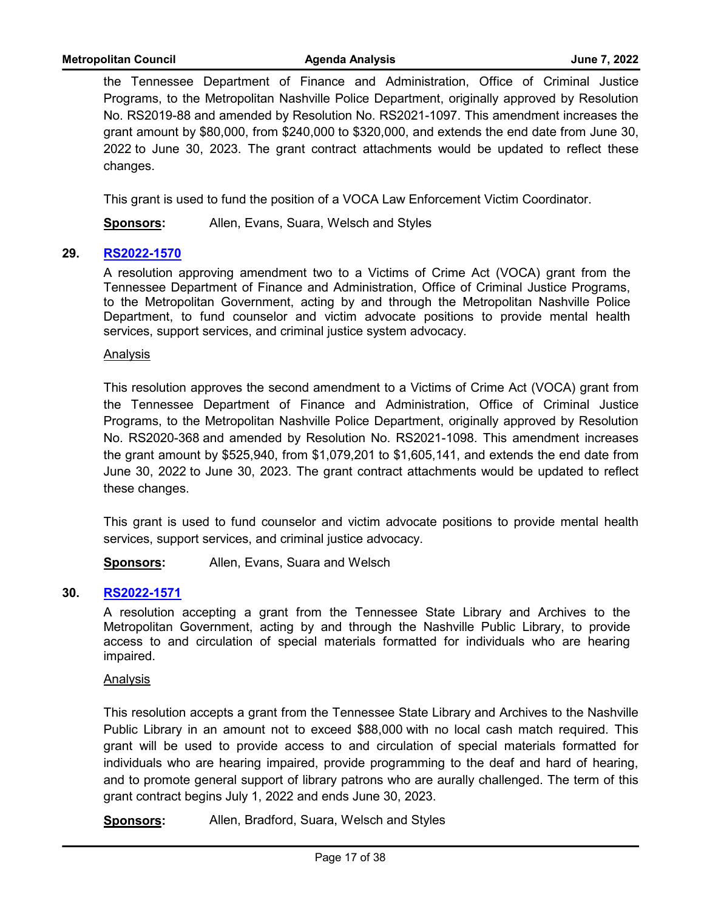the Tennessee Department of Finance and Administration, Office of Criminal Justice Programs, to the Metropolitan Nashville Police Department, originally approved by Resolution No. RS2019-88 and amended by Resolution No. RS2021-1097. This amendment increases the grant amount by \$80,000, from \$240,000 to \$320,000, and extends the end date from June 30, 2022 to June 30, 2023. The grant contract attachments would be updated to reflect these changes.

This grant is used to fund the position of a VOCA Law Enforcement Victim Coordinator.

**Sponsors:** Allen, Evans, Suara, Welsch and Styles

# **29. [RS2022-1570](http://nashville.legistar.com/gateway.aspx?m=l&id=/matter.aspx?key=14596)**

A resolution approving amendment two to a Victims of Crime Act (VOCA) grant from the Tennessee Department of Finance and Administration, Office of Criminal Justice Programs, to the Metropolitan Government, acting by and through the Metropolitan Nashville Police Department, to fund counselor and victim advocate positions to provide mental health services, support services, and criminal justice system advocacy.

#### Analysis

This resolution approves the second amendment to a Victims of Crime Act (VOCA) grant from the Tennessee Department of Finance and Administration, Office of Criminal Justice Programs, to the Metropolitan Nashville Police Department, originally approved by Resolution No. RS2020-368 and amended by Resolution No. RS2021-1098. This amendment increases the grant amount by \$525,940, from \$1,079,201 to \$1,605,141, and extends the end date from June 30, 2022 to June 30, 2023. The grant contract attachments would be updated to reflect these changes.

This grant is used to fund counselor and victim advocate positions to provide mental health services, support services, and criminal justice advocacy.

**Sponsors:** Allen, Evans, Suara and Welsch

# **30. [RS2022-1571](http://nashville.legistar.com/gateway.aspx?m=l&id=/matter.aspx?key=14542)**

A resolution accepting a grant from the Tennessee State Library and Archives to the Metropolitan Government, acting by and through the Nashville Public Library, to provide access to and circulation of special materials formatted for individuals who are hearing impaired.

#### Analysis

This resolution accepts a grant from the Tennessee State Library and Archives to the Nashville Public Library in an amount not to exceed \$88,000 with no local cash match required. This grant will be used to provide access to and circulation of special materials formatted for individuals who are hearing impaired, provide programming to the deaf and hard of hearing, and to promote general support of library patrons who are aurally challenged. The term of this grant contract begins July 1, 2022 and ends June 30, 2023.

**Sponsors:** Allen, Bradford, Suara, Welsch and Styles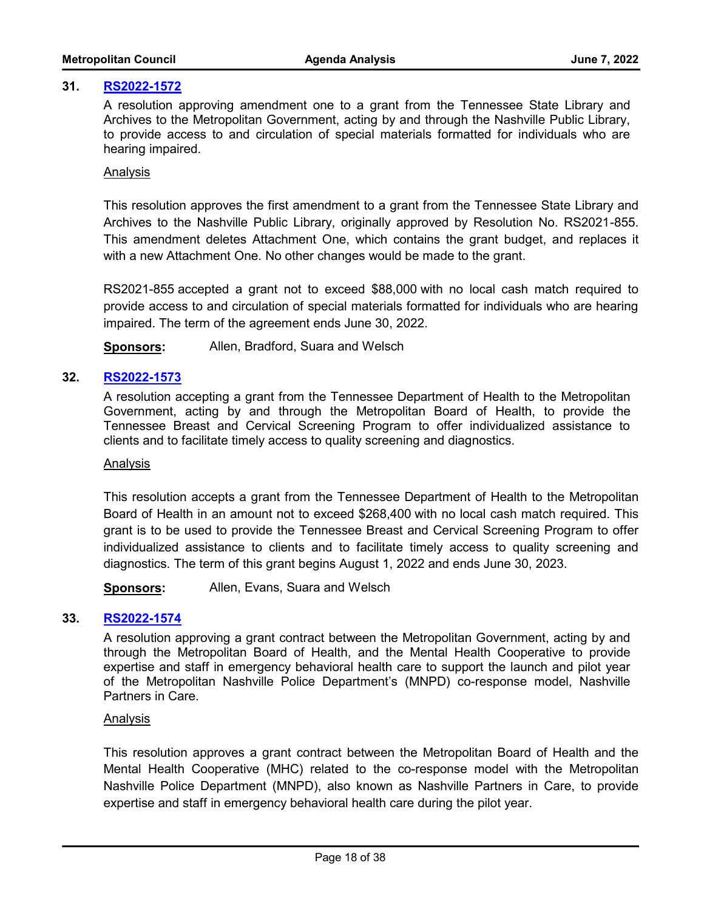# **31. [RS2022-1572](http://nashville.legistar.com/gateway.aspx?m=l&id=/matter.aspx?key=14543)**

A resolution approving amendment one to a grant from the Tennessee State Library and Archives to the Metropolitan Government, acting by and through the Nashville Public Library, to provide access to and circulation of special materials formatted for individuals who are hearing impaired.

## Analysis

This resolution approves the first amendment to a grant from the Tennessee State Library and Archives to the Nashville Public Library, originally approved by Resolution No. RS2021-855. This amendment deletes Attachment One, which contains the grant budget, and replaces it with a new Attachment One. No other changes would be made to the grant.

RS2021-855 accepted a grant not to exceed \$88,000 with no local cash match required to provide access to and circulation of special materials formatted for individuals who are hearing impaired. The term of the agreement ends June 30, 2022.

**Sponsors:** Allen, Bradford, Suara and Welsch

# **32. [RS2022-1573](http://nashville.legistar.com/gateway.aspx?m=l&id=/matter.aspx?key=14591)**

A resolution accepting a grant from the Tennessee Department of Health to the Metropolitan Government, acting by and through the Metropolitan Board of Health, to provide the Tennessee Breast and Cervical Screening Program to offer individualized assistance to clients and to facilitate timely access to quality screening and diagnostics.

#### Analysis

This resolution accepts a grant from the Tennessee Department of Health to the Metropolitan Board of Health in an amount not to exceed \$268,400 with no local cash match required. This grant is to be used to provide the Tennessee Breast and Cervical Screening Program to offer individualized assistance to clients and to facilitate timely access to quality screening and diagnostics. The term of this grant begins August 1, 2022 and ends June 30, 2023.

**Sponsors:** Allen, Evans, Suara and Welsch

# **33. [RS2022-1574](http://nashville.legistar.com/gateway.aspx?m=l&id=/matter.aspx?key=14552)**

A resolution approving a grant contract between the Metropolitan Government, acting by and through the Metropolitan Board of Health, and the Mental Health Cooperative to provide expertise and staff in emergency behavioral health care to support the launch and pilot year of the Metropolitan Nashville Police Department's (MNPD) co-response model, Nashville Partners in Care.

#### Analysis

This resolution approves a grant contract between the Metropolitan Board of Health and the Mental Health Cooperative (MHC) related to the co-response model with the Metropolitan Nashville Police Department (MNPD), also known as Nashville Partners in Care, to provide expertise and staff in emergency behavioral health care during the pilot year.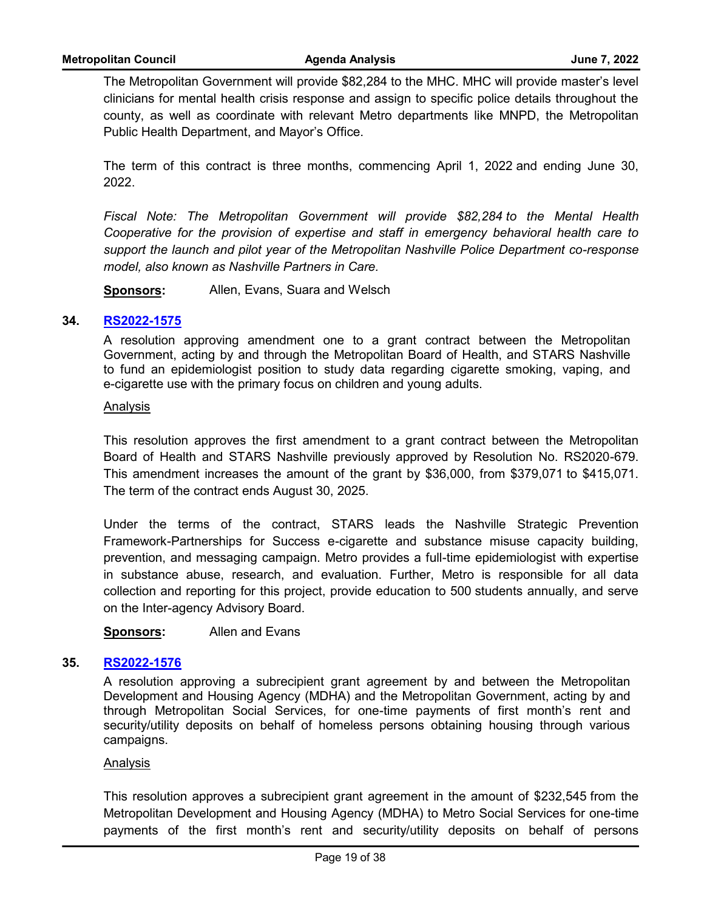The Metropolitan Government will provide \$82,284 to the MHC. MHC will provide master's level clinicians for mental health crisis response and assign to specific police details throughout the county, as well as coordinate with relevant Metro departments like MNPD, the Metropolitan Public Health Department, and Mayor's Office.

The term of this contract is three months, commencing April 1, 2022 and ending June 30, 2022.

*Fiscal Note: The Metropolitan Government will provide \$82,284 to the Mental Health Cooperative for the provision of expertise and staff in emergency behavioral health care to support the launch and pilot year of the Metropolitan Nashville Police Department co-response model, also known as Nashville Partners in Care.* 

**Sponsors:** Allen, Evans, Suara and Welsch

# **34. [RS2022-1575](http://nashville.legistar.com/gateway.aspx?m=l&id=/matter.aspx?key=14613)**

A resolution approving amendment one to a grant contract between the Metropolitan Government, acting by and through the Metropolitan Board of Health, and STARS Nashville to fund an epidemiologist position to study data regarding cigarette smoking, vaping, and e-cigarette use with the primary focus on children and young adults.

#### Analysis

This resolution approves the first amendment to a grant contract between the Metropolitan Board of Health and STARS Nashville previously approved by Resolution No. RS2020-679. This amendment increases the amount of the grant by \$36,000, from \$379,071 to \$415,071. The term of the contract ends August 30, 2025.

Under the terms of the contract, STARS leads the Nashville Strategic Prevention Framework-Partnerships for Success e-cigarette and substance misuse capacity building, prevention, and messaging campaign. Metro provides a full-time epidemiologist with expertise in substance abuse, research, and evaluation. Further, Metro is responsible for all data collection and reporting for this project, provide education to 500 students annually, and serve on the Inter-agency Advisory Board.

**Sponsors:** Allen and Evans

# **35. [RS2022-1576](http://nashville.legistar.com/gateway.aspx?m=l&id=/matter.aspx?key=14584)**

A resolution approving a subrecipient grant agreement by and between the Metropolitan Development and Housing Agency (MDHA) and the Metropolitan Government, acting by and through Metropolitan Social Services, for one-time payments of first month's rent and security/utility deposits on behalf of homeless persons obtaining housing through various campaigns.

#### Analysis

This resolution approves a subrecipient grant agreement in the amount of \$232,545 from the Metropolitan Development and Housing Agency (MDHA) to Metro Social Services for one-time payments of the first month's rent and security/utility deposits on behalf of persons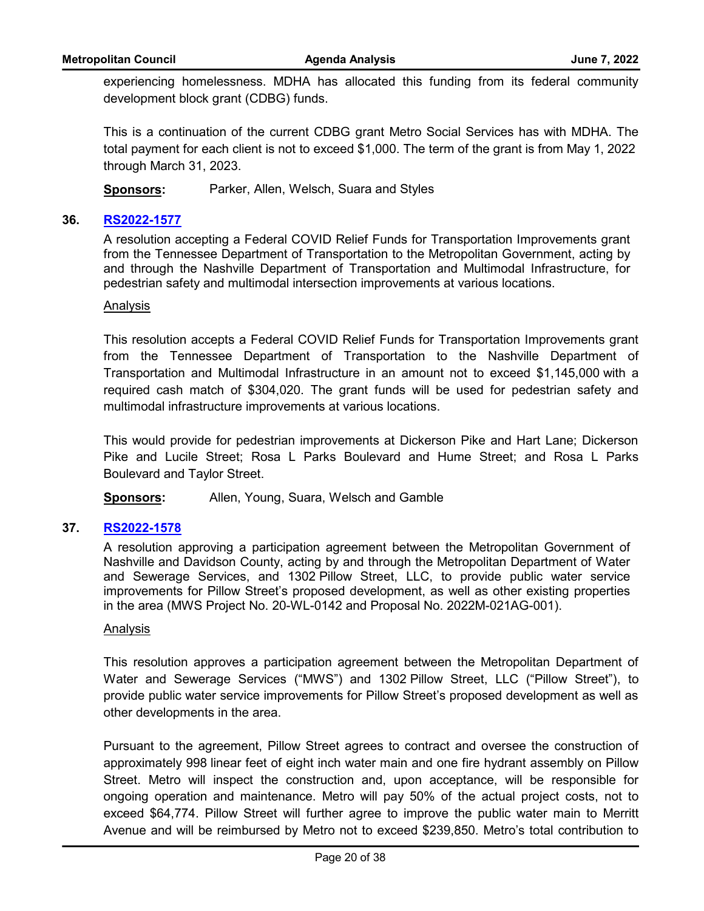experiencing homelessness. MDHA has allocated this funding from its federal community development block grant (CDBG) funds.

This is a continuation of the current CDBG grant Metro Social Services has with MDHA. The total payment for each client is not to exceed \$1,000. The term of the grant is from May 1, 2022 through March 31, 2023.

**Sponsors:** Parker, Allen, Welsch, Suara and Styles

# **36. [RS2022-1577](http://nashville.legistar.com/gateway.aspx?m=l&id=/matter.aspx?key=14585)**

A resolution accepting a Federal COVID Relief Funds for Transportation Improvements grant from the Tennessee Department of Transportation to the Metropolitan Government, acting by and through the Nashville Department of Transportation and Multimodal Infrastructure, for pedestrian safety and multimodal intersection improvements at various locations.

#### Analysis

This resolution accepts a Federal COVID Relief Funds for Transportation Improvements grant from the Tennessee Department of Transportation to the Nashville Department of Transportation and Multimodal Infrastructure in an amount not to exceed \$1,145,000 with a required cash match of \$304,020. The grant funds will be used for pedestrian safety and multimodal infrastructure improvements at various locations.

This would provide for pedestrian improvements at Dickerson Pike and Hart Lane; Dickerson Pike and Lucile Street; Rosa L Parks Boulevard and Hume Street; and Rosa L Parks Boulevard and Taylor Street.

**Sponsors:** Allen, Young, Suara, Welsch and Gamble

# **37. [RS2022-1578](http://nashville.legistar.com/gateway.aspx?m=l&id=/matter.aspx?key=14598)**

A resolution approving a participation agreement between the Metropolitan Government of Nashville and Davidson County, acting by and through the Metropolitan Department of Water and Sewerage Services, and 1302 Pillow Street, LLC, to provide public water service improvements for Pillow Street's proposed development, as well as other existing properties in the area (MWS Project No. 20-WL-0142 and Proposal No. 2022M-021AG-001).

#### Analysis

This resolution approves a participation agreement between the Metropolitan Department of Water and Sewerage Services ("MWS") and 1302 Pillow Street, LLC ("Pillow Street"), to provide public water service improvements for Pillow Street's proposed development as well as other developments in the area.

Pursuant to the agreement, Pillow Street agrees to contract and oversee the construction of approximately 998 linear feet of eight inch water main and one fire hydrant assembly on Pillow Street. Metro will inspect the construction and, upon acceptance, will be responsible for ongoing operation and maintenance. Metro will pay 50% of the actual project costs, not to exceed \$64,774. Pillow Street will further agree to improve the public water main to Merritt Avenue and will be reimbursed by Metro not to exceed \$239,850. Metro's total contribution to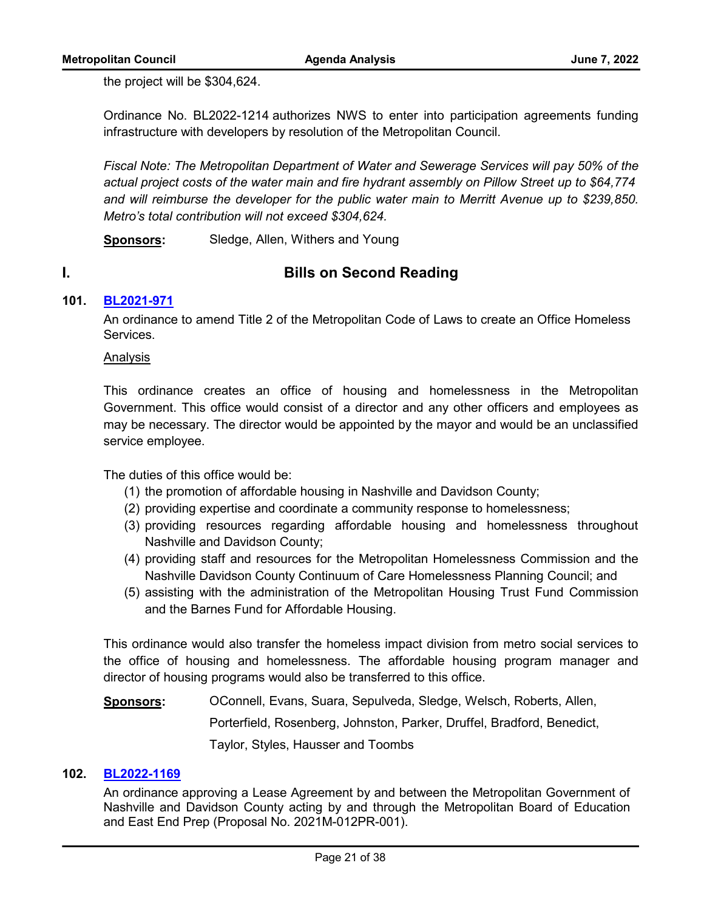the project will be \$304,624.

Ordinance No. BL2022-1214 authorizes NWS to enter into participation agreements funding infrastructure with developers by resolution of the Metropolitan Council.

*Fiscal Note: The Metropolitan Department of Water and Sewerage Services will pay 50% of the actual project costs of the water main and fire hydrant assembly on Pillow Street up to \$64,774 and will reimburse the developer for the public water main to Merritt Avenue up to \$239,850. Metro's total contribution will not exceed \$304,624.* 

**Sponsors:** Sledge, Allen, Withers and Young

# **I. Bills on Second Reading**

# **101. [BL2021-971](http://nashville.legistar.com/gateway.aspx?m=l&id=/matter.aspx?key=13734)**

An ordinance to amend Title 2 of the Metropolitan Code of Laws to create an Office Homeless Services.

# Analysis

This ordinance creates an office of housing and homelessness in the Metropolitan Government. This office would consist of a director and any other officers and employees as may be necessary. The director would be appointed by the mayor and would be an unclassified service employee.

The duties of this office would be:

- (1) the promotion of affordable housing in Nashville and Davidson County;
- (2) providing expertise and coordinate a community response to homelessness;
- (3) providing resources regarding affordable housing and homelessness throughout Nashville and Davidson County;
- (4) providing staff and resources for the Metropolitan Homelessness Commission and the Nashville Davidson County Continuum of Care Homelessness Planning Council; and
- (5) assisting with the administration of the Metropolitan Housing Trust Fund Commission and the Barnes Fund for Affordable Housing.

This ordinance would also transfer the homeless impact division from metro social services to the office of housing and homelessness. The affordable housing program manager and director of housing programs would also be transferred to this office.

**Sponsors:** OConnell, Evans, Suara, Sepulveda, Sledge, Welsch, Roberts, Allen, Porterfield, Rosenberg, Johnston, Parker, Druffel, Bradford, Benedict, Taylor, Styles, Hausser and Toombs

#### **102. [BL2022-1169](http://nashville.legistar.com/gateway.aspx?m=l&id=/matter.aspx?key=14261)**

An ordinance approving a Lease Agreement by and between the Metropolitan Government of Nashville and Davidson County acting by and through the Metropolitan Board of Education and East End Prep (Proposal No. 2021M-012PR-001).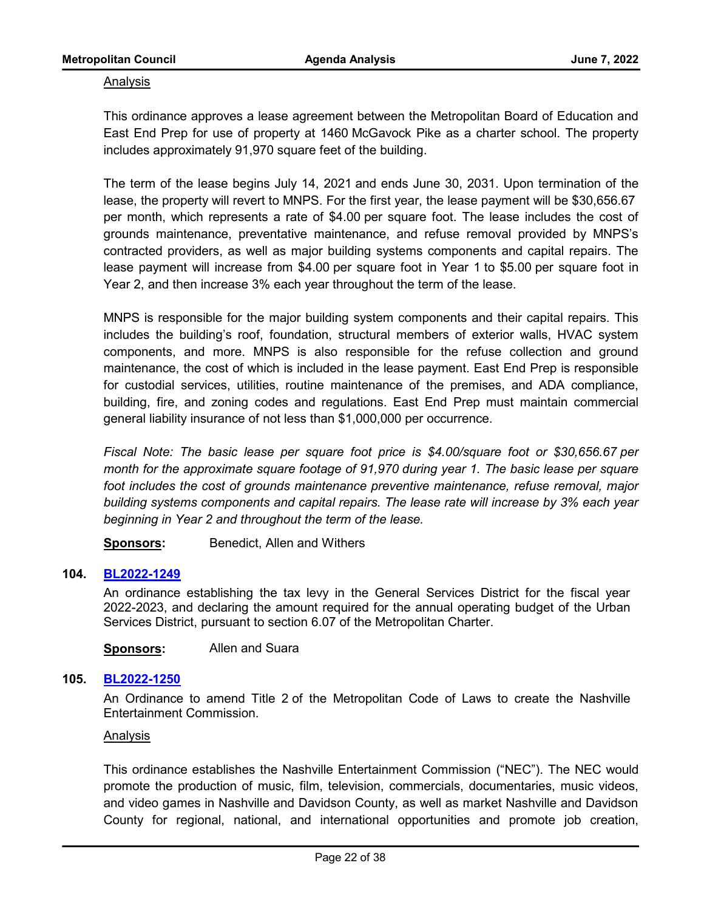#### Analysis

This ordinance approves a lease agreement between the Metropolitan Board of Education and East End Prep for use of property at 1460 McGavock Pike as a charter school. The property includes approximately 91,970 square feet of the building.

The term of the lease begins July 14, 2021 and ends June 30, 2031. Upon termination of the lease, the property will revert to MNPS. For the first year, the lease payment will be \$30,656.67 per month, which represents a rate of \$4.00 per square foot. The lease includes the cost of grounds maintenance, preventative maintenance, and refuse removal provided by MNPS's contracted providers, as well as major building systems components and capital repairs. The lease payment will increase from \$4.00 per square foot in Year 1 to \$5.00 per square foot in Year 2, and then increase 3% each year throughout the term of the lease.

MNPS is responsible for the major building system components and their capital repairs. This includes the building's roof, foundation, structural members of exterior walls, HVAC system components, and more. MNPS is also responsible for the refuse collection and ground maintenance, the cost of which is included in the lease payment. East End Prep is responsible for custodial services, utilities, routine maintenance of the premises, and ADA compliance, building, fire, and zoning codes and regulations. East End Prep must maintain commercial general liability insurance of not less than \$1,000,000 per occurrence.

*Fiscal Note: The basic lease per square foot price is \$4.00/square foot or \$30,656.67 per month for the approximate square footage of 91,970 during year 1. The basic lease per square foot includes the cost of grounds maintenance preventive maintenance, refuse removal, major building systems components and capital repairs. The lease rate will increase by 3% each year beginning in Year 2 and throughout the term of the lease.* 

**Sponsors:** Benedict, Allen and Withers

# **104. [BL2022-1249](http://nashville.legistar.com/gateway.aspx?m=l&id=/matter.aspx?key=14438)**

An ordinance establishing the tax levy in the General Services District for the fiscal year 2022-2023, and declaring the amount required for the annual operating budget of the Urban Services District, pursuant to section 6.07 of the Metropolitan Charter.

**Sponsors:** Allen and Suara

# **105. [BL2022-1250](http://nashville.legistar.com/gateway.aspx?m=l&id=/matter.aspx?key=14483)**

An Ordinance to amend Title 2 of the Metropolitan Code of Laws to create the Nashville Entertainment Commission.

#### Analysis

This ordinance establishes the Nashville Entertainment Commission ("NEC"). The NEC would promote the production of music, film, television, commercials, documentaries, music videos, and video games in Nashville and Davidson County, as well as market Nashville and Davidson County for regional, national, and international opportunities and promote job creation,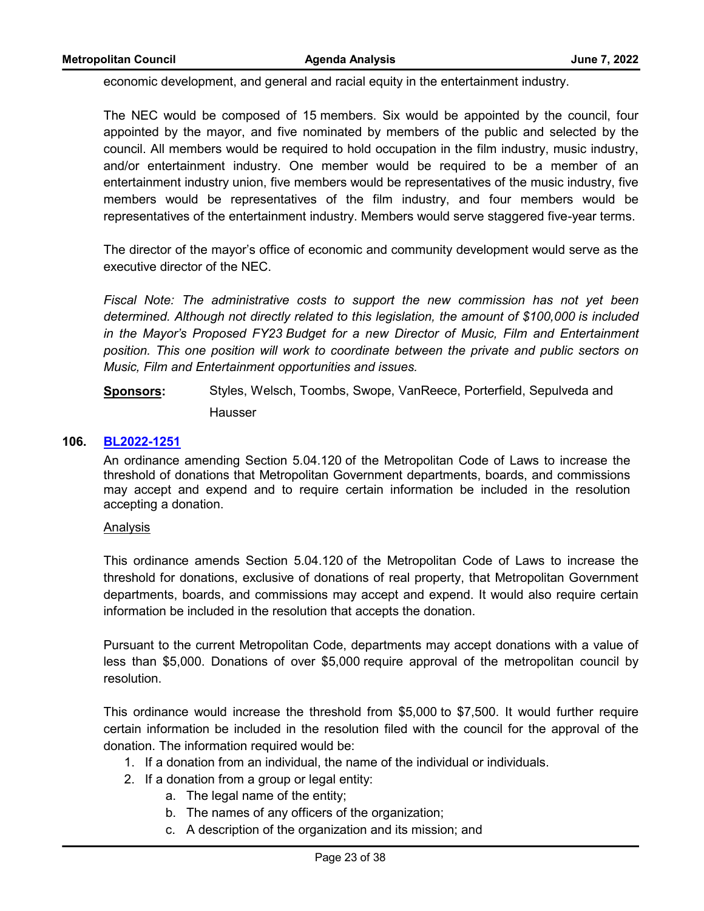economic development, and general and racial equity in the entertainment industry.

The NEC would be composed of 15 members. Six would be appointed by the council, four appointed by the mayor, and five nominated by members of the public and selected by the council. All members would be required to hold occupation in the film industry, music industry, and/or entertainment industry. One member would be required to be a member of an entertainment industry union, five members would be representatives of the music industry, five members would be representatives of the film industry, and four members would be representatives of the entertainment industry. Members would serve staggered five-year terms.

The director of the mayor's office of economic and community development would serve as the executive director of the NEC.

*Fiscal Note: The administrative costs to support the new commission has not yet been determined. Although not directly related to this legislation, the amount of \$100,000 is included in the Mayor's Proposed FY23 Budget for a new Director of Music, Film and Entertainment position. This one position will work to coordinate between the private and public sectors on Music, Film and Entertainment opportunities and issues.*

**Sponsors:** Styles, Welsch, Toombs, Swope, VanReece, Porterfield, Sepulveda and Hausser

## **106. [BL2022-1251](http://nashville.legistar.com/gateway.aspx?m=l&id=/matter.aspx?key=14484)**

An ordinance amending Section 5.04.120 of the Metropolitan Code of Laws to increase the threshold of donations that Metropolitan Government departments, boards, and commissions may accept and expend and to require certain information be included in the resolution accepting a donation.

#### Analysis

This ordinance amends Section 5.04.120 of the Metropolitan Code of Laws to increase the threshold for donations, exclusive of donations of real property, that Metropolitan Government departments, boards, and commissions may accept and expend. It would also require certain information be included in the resolution that accepts the donation.

Pursuant to the current Metropolitan Code, departments may accept donations with a value of less than \$5,000. Donations of over \$5,000 require approval of the metropolitan council by resolution.

This ordinance would increase the threshold from \$5,000 to \$7,500. It would further require certain information be included in the resolution filed with the council for the approval of the donation. The information required would be:

- 1. If a donation from an individual, the name of the individual or individuals.
- 2. If a donation from a group or legal entity:
	- a. The legal name of the entity;
	- b. The names of any officers of the organization;
	- c. A description of the organization and its mission; and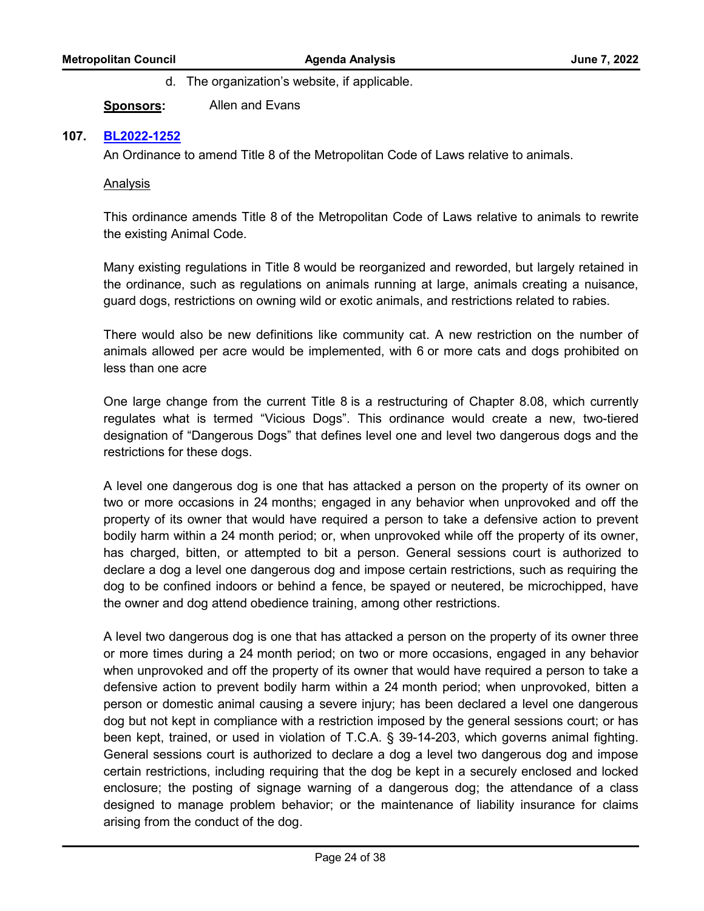d. The organization's website, if applicable.

**Sponsors:** Allen and Evans

# **107. [BL2022-1252](http://nashville.legistar.com/gateway.aspx?m=l&id=/matter.aspx?key=14482)**

An Ordinance to amend Title 8 of the Metropolitan Code of Laws relative to animals.

# Analysis

This ordinance amends Title 8 of the Metropolitan Code of Laws relative to animals to rewrite the existing Animal Code.

Many existing regulations in Title 8 would be reorganized and reworded, but largely retained in the ordinance, such as regulations on animals running at large, animals creating a nuisance, guard dogs, restrictions on owning wild or exotic animals, and restrictions related to rabies.

There would also be new definitions like community cat. A new restriction on the number of animals allowed per acre would be implemented, with 6 or more cats and dogs prohibited on less than one acre

One large change from the current Title 8 is a restructuring of Chapter 8.08, which currently regulates what is termed "Vicious Dogs". This ordinance would create a new, two-tiered designation of "Dangerous Dogs" that defines level one and level two dangerous dogs and the restrictions for these dogs.

A level one dangerous dog is one that has attacked a person on the property of its owner on two or more occasions in 24 months; engaged in any behavior when unprovoked and off the property of its owner that would have required a person to take a defensive action to prevent bodily harm within a 24 month period; or, when unprovoked while off the property of its owner, has charged, bitten, or attempted to bit a person. General sessions court is authorized to declare a dog a level one dangerous dog and impose certain restrictions, such as requiring the dog to be confined indoors or behind a fence, be spayed or neutered, be microchipped, have the owner and dog attend obedience training, among other restrictions.

A level two dangerous dog is one that has attacked a person on the property of its owner three or more times during a 24 month period; on two or more occasions, engaged in any behavior when unprovoked and off the property of its owner that would have required a person to take a defensive action to prevent bodily harm within a 24 month period; when unprovoked, bitten a person or domestic animal causing a severe injury; has been declared a level one dangerous dog but not kept in compliance with a restriction imposed by the general sessions court; or has been kept, trained, or used in violation of T.C.A. § 39-14-203, which governs animal fighting. General sessions court is authorized to declare a dog a level two dangerous dog and impose certain restrictions, including requiring that the dog be kept in a securely enclosed and locked enclosure; the posting of signage warning of a dangerous dog; the attendance of a class designed to manage problem behavior; or the maintenance of liability insurance for claims arising from the conduct of the dog.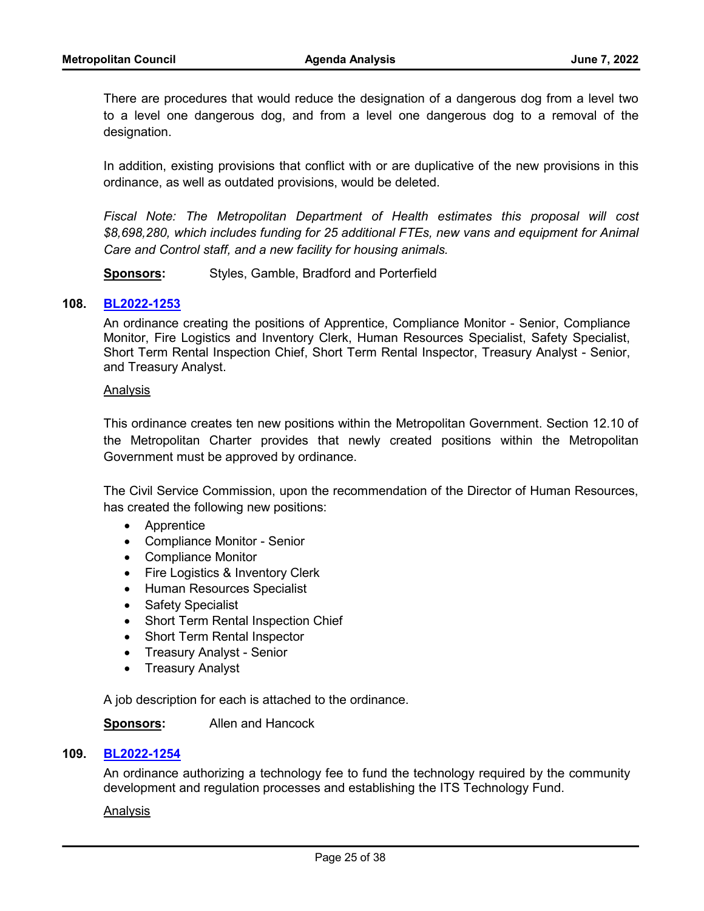There are procedures that would reduce the designation of a dangerous dog from a level two to a level one dangerous dog, and from a level one dangerous dog to a removal of the designation.

In addition, existing provisions that conflict with or are duplicative of the new provisions in this ordinance, as well as outdated provisions, would be deleted.

*Fiscal Note: The Metropolitan Department of Health estimates this proposal will cost \$8,698,280, which includes funding for 25 additional FTEs, new vans and equipment for Animal Care and Control staff, and a new facility for housing animals.* 

**Sponsors:** Styles, Gamble, Bradford and Porterfield

#### **108. [BL2022-1253](http://nashville.legistar.com/gateway.aspx?m=l&id=/matter.aspx?key=14459)**

An ordinance creating the positions of Apprentice, Compliance Monitor - Senior, Compliance Monitor, Fire Logistics and Inventory Clerk, Human Resources Specialist, Safety Specialist, Short Term Rental Inspection Chief, Short Term Rental Inspector, Treasury Analyst - Senior, and Treasury Analyst.

#### Analysis

This ordinance creates ten new positions within the Metropolitan Government. Section 12.10 of the Metropolitan Charter provides that newly created positions within the Metropolitan Government must be approved by ordinance.

The Civil Service Commission, upon the recommendation of the Director of Human Resources, has created the following new positions:

- · Apprentice
- · Compliance Monitor Senior
- · Compliance Monitor
- Fire Logistics & Inventory Clerk
- · Human Resources Specialist
- Safety Specialist
- Short Term Rental Inspection Chief
- · Short Term Rental Inspector
- · Treasury Analyst Senior
- · Treasury Analyst

A job description for each is attached to the ordinance.

#### **Sponsors:** Allen and Hancock

#### **109. [BL2022-1254](http://nashville.legistar.com/gateway.aspx?m=l&id=/matter.aspx?key=14478)**

An ordinance authorizing a technology fee to fund the technology required by the community development and regulation processes and establishing the ITS Technology Fund.

#### Analysis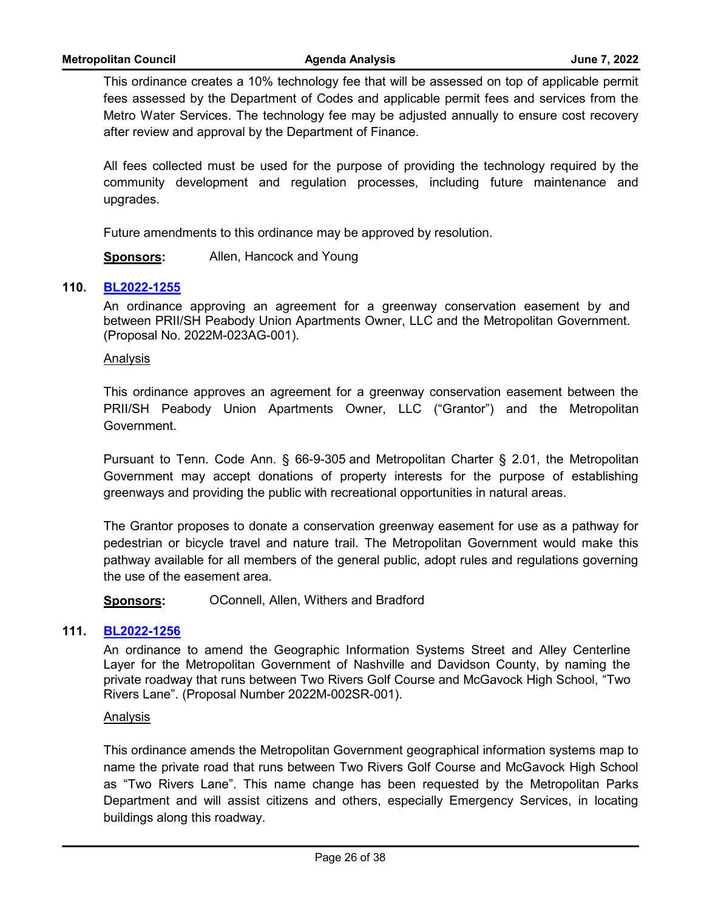This ordinance creates a 10% technology fee that will be assessed on top of applicable permit fees assessed by the Department of Codes and applicable permit fees and services from the Metro Water Services. The technology fee may be adjusted annually to ensure cost recovery after review and approval by the Department of Finance.

All fees collected must be used for the purpose of providing the technology required by the community development and regulation processes, including future maintenance and upgrades.

Future amendments to this ordinance may be approved by resolution.

**Sponsors:** Allen, Hancock and Young

# **110. [BL2022-1255](http://nashville.legistar.com/gateway.aspx?m=l&id=/matter.aspx?key=14461)**

An ordinance approving an agreement for a greenway conservation easement by and between PRII/SH Peabody Union Apartments Owner, LLC and the Metropolitan Government. (Proposal No. 2022M-023AG-001).

#### Analysis

This ordinance approves an agreement for a greenway conservation easement between the PRII/SH Peabody Union Apartments Owner, LLC ("Grantor") and the Metropolitan Government.

Pursuant to Tenn. Code Ann. § 66-9-305 and Metropolitan Charter § 2.01, the Metropolitan Government may accept donations of property interests for the purpose of establishing greenways and providing the public with recreational opportunities in natural areas.

The Grantor proposes to donate a conservation greenway easement for use as a pathway for pedestrian or bicycle travel and nature trail. The Metropolitan Government would make this pathway available for all members of the general public, adopt rules and regulations governing the use of the easement area.

**Sponsors:** OConnell, Allen, Withers and Bradford

#### **111. [BL2022-1256](http://nashville.legistar.com/gateway.aspx?m=l&id=/matter.aspx?key=14442)**

An ordinance to amend the Geographic Information Systems Street and Alley Centerline Layer for the Metropolitan Government of Nashville and Davidson County, by naming the private roadway that runs between Two Rivers Golf Course and McGavock High School, "Two Rivers Lane". (Proposal Number 2022M-002SR-001).

#### Analysis

This ordinance amends the Metropolitan Government geographical information systems map to name the private road that runs between Two Rivers Golf Course and McGavock High School as "Two Rivers Lane". This name change has been requested by the Metropolitan Parks Department and will assist citizens and others, especially Emergency Services, in locating buildings along this roadway.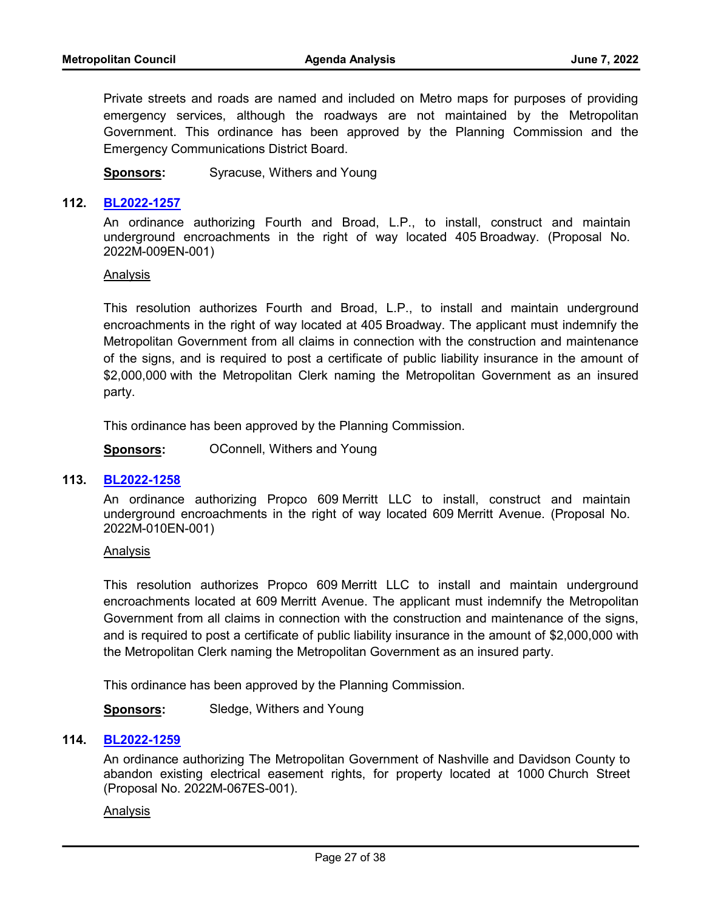Private streets and roads are named and included on Metro maps for purposes of providing emergency services, although the roadways are not maintained by the Metropolitan Government. This ordinance has been approved by the Planning Commission and the Emergency Communications District Board.

**Sponsors:** Syracuse, Withers and Young

#### **112. [BL2022-1257](http://nashville.legistar.com/gateway.aspx?m=l&id=/matter.aspx?key=14464)**

An ordinance authorizing Fourth and Broad, L.P., to install, construct and maintain underground encroachments in the right of way located 405 Broadway. (Proposal No. 2022M-009EN-001)

#### Analysis

This resolution authorizes Fourth and Broad, L.P., to install and maintain underground encroachments in the right of way located at 405 Broadway. The applicant must indemnify the Metropolitan Government from all claims in connection with the construction and maintenance of the signs, and is required to post a certificate of public liability insurance in the amount of \$2,000,000 with the Metropolitan Clerk naming the Metropolitan Government as an insured party.

This ordinance has been approved by the Planning Commission.

**Sponsors: OConnell, Withers and Young** 

#### **113. [BL2022-1258](http://nashville.legistar.com/gateway.aspx?m=l&id=/matter.aspx?key=14465)**

An ordinance authorizing Propco 609 Merritt LLC to install, construct and maintain underground encroachments in the right of way located 609 Merritt Avenue. (Proposal No. 2022M-010EN-001)

#### Analysis

This resolution authorizes Propco 609 Merritt LLC to install and maintain underground encroachments located at 609 Merritt Avenue. The applicant must indemnify the Metropolitan Government from all claims in connection with the construction and maintenance of the signs, and is required to post a certificate of public liability insurance in the amount of \$2,000,000 with the Metropolitan Clerk naming the Metropolitan Government as an insured party.

This ordinance has been approved by the Planning Commission.

**Sponsors:** Sledge, Withers and Young

#### **114. [BL2022-1259](http://nashville.legistar.com/gateway.aspx?m=l&id=/matter.aspx?key=14446)**

An ordinance authorizing The Metropolitan Government of Nashville and Davidson County to abandon existing electrical easement rights, for property located at 1000 Church Street (Proposal No. 2022M-067ES-001).

#### Analysis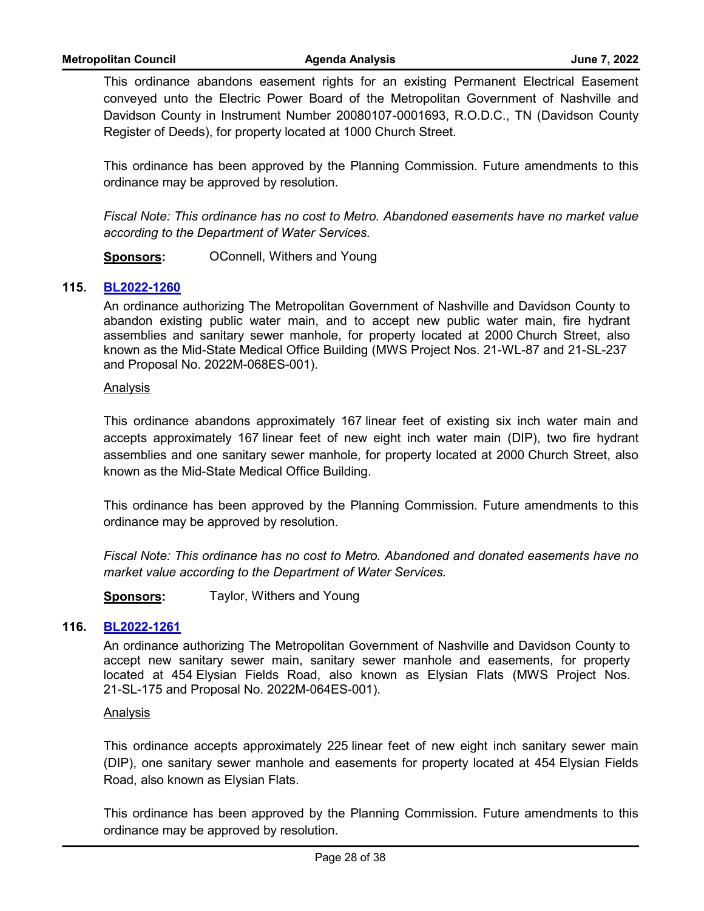This ordinance abandons easement rights for an existing Permanent Electrical Easement conveyed unto the Electric Power Board of the Metropolitan Government of Nashville and Davidson County in Instrument Number 20080107-0001693, R.O.D.C., TN (Davidson County Register of Deeds), for property located at 1000 Church Street.

This ordinance has been approved by the Planning Commission. Future amendments to this ordinance may be approved by resolution.

*Fiscal Note: This ordinance has no cost to Metro. Abandoned easements have no market value according to the Department of Water Services.*

**Sponsors: OConnell, Withers and Young** 

# **115. [BL2022-1260](http://nashville.legistar.com/gateway.aspx?m=l&id=/matter.aspx?key=14469)**

An ordinance authorizing The Metropolitan Government of Nashville and Davidson County to abandon existing public water main, and to accept new public water main, fire hydrant assemblies and sanitary sewer manhole, for property located at 2000 Church Street, also known as the Mid-State Medical Office Building (MWS Project Nos. 21-WL-87 and 21-SL-237 and Proposal No. 2022M-068ES-001).

# Analysis

This ordinance abandons approximately 167 linear feet of existing six inch water main and accepts approximately 167 linear feet of new eight inch water main (DIP), two fire hydrant assemblies and one sanitary sewer manhole, for property located at 2000 Church Street, also known as the Mid-State Medical Office Building.

This ordinance has been approved by the Planning Commission. Future amendments to this ordinance may be approved by resolution.

*Fiscal Note: This ordinance has no cost to Metro. Abandoned and donated easements have no market value according to the Department of Water Services.*

**Sponsors:** Taylor, Withers and Young

# **116. [BL2022-1261](http://nashville.legistar.com/gateway.aspx?m=l&id=/matter.aspx?key=14470)**

An ordinance authorizing The Metropolitan Government of Nashville and Davidson County to accept new sanitary sewer main, sanitary sewer manhole and easements, for property located at 454 Elysian Fields Road, also known as Elysian Flats (MWS Project Nos. 21-SL-175 and Proposal No. 2022M-064ES-001).

#### Analysis

This ordinance accepts approximately 225 linear feet of new eight inch sanitary sewer main (DIP), one sanitary sewer manhole and easements for property located at 454 Elysian Fields Road, also known as Elysian Flats.

This ordinance has been approved by the Planning Commission. Future amendments to this ordinance may be approved by resolution.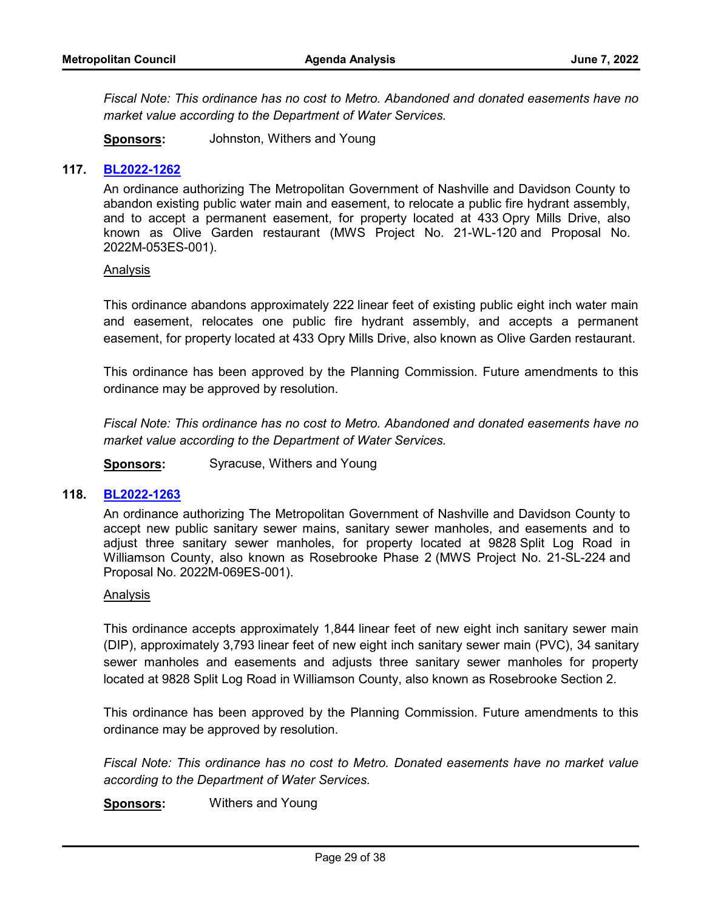*Fiscal Note: This ordinance has no cost to Metro. Abandoned and donated easements have no market value according to the Department of Water Services.*

**Sponsors:** Johnston, Withers and Young

## **117. [BL2022-1262](http://nashville.legistar.com/gateway.aspx?m=l&id=/matter.aspx?key=14471)**

An ordinance authorizing The Metropolitan Government of Nashville and Davidson County to abandon existing public water main and easement, to relocate a public fire hydrant assembly, and to accept a permanent easement, for property located at 433 Opry Mills Drive, also known as Olive Garden restaurant (MWS Project No. 21-WL-120 and Proposal No. 2022M-053ES-001).

#### Analysis

This ordinance abandons approximately 222 linear feet of existing public eight inch water main and easement, relocates one public fire hydrant assembly, and accepts a permanent easement, for property located at 433 Opry Mills Drive, also known as Olive Garden restaurant.

This ordinance has been approved by the Planning Commission. Future amendments to this ordinance may be approved by resolution.

*Fiscal Note: This ordinance has no cost to Metro. Abandoned and donated easements have no market value according to the Department of Water Services.*

**Sponsors:** Syracuse, Withers and Young

#### **118. [BL2022-1263](http://nashville.legistar.com/gateway.aspx?m=l&id=/matter.aspx?key=14472)**

An ordinance authorizing The Metropolitan Government of Nashville and Davidson County to accept new public sanitary sewer mains, sanitary sewer manholes, and easements and to adjust three sanitary sewer manholes, for property located at 9828 Split Log Road in Williamson County, also known as Rosebrooke Phase 2 (MWS Project No. 21-SL-224 and Proposal No. 2022M-069ES-001).

#### Analysis

This ordinance accepts approximately 1,844 linear feet of new eight inch sanitary sewer main (DIP), approximately 3,793 linear feet of new eight inch sanitary sewer main (PVC), 34 sanitary sewer manholes and easements and adjusts three sanitary sewer manholes for property located at 9828 Split Log Road in Williamson County, also known as Rosebrooke Section 2.

This ordinance has been approved by the Planning Commission. Future amendments to this ordinance may be approved by resolution.

*Fiscal Note: This ordinance has no cost to Metro. Donated easements have no market value according to the Department of Water Services.*

**Sponsors:** Withers and Young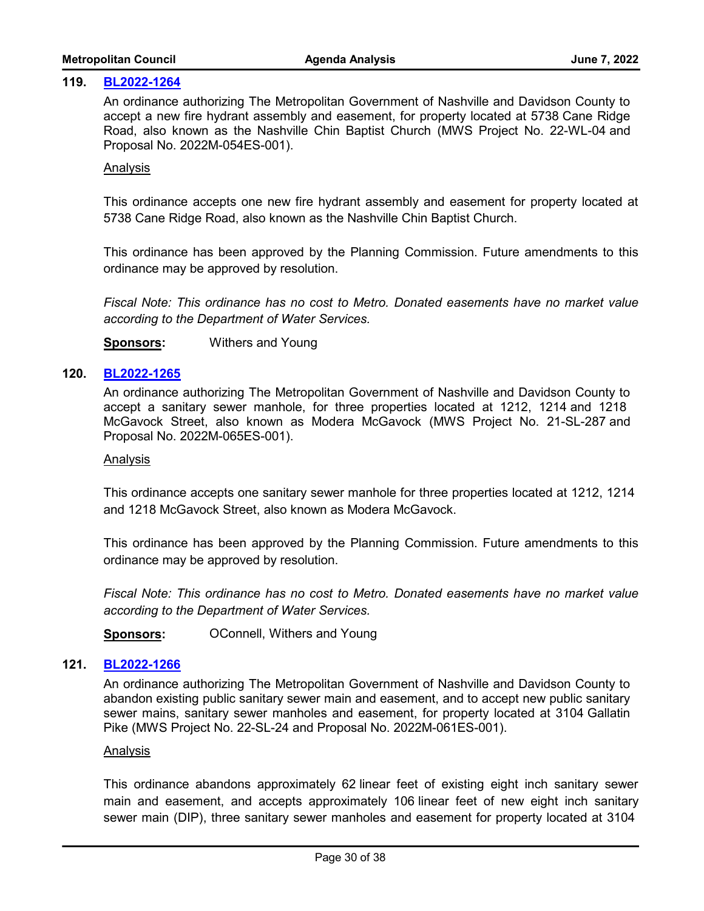#### **119. [BL2022-1264](http://nashville.legistar.com/gateway.aspx?m=l&id=/matter.aspx?key=14473)**

An ordinance authorizing The Metropolitan Government of Nashville and Davidson County to accept a new fire hydrant assembly and easement, for property located at 5738 Cane Ridge Road, also known as the Nashville Chin Baptist Church (MWS Project No. 22-WL-04 and Proposal No. 2022M-054ES-001).

#### Analysis

This ordinance accepts one new fire hydrant assembly and easement for property located at 5738 Cane Ridge Road, also known as the Nashville Chin Baptist Church.

This ordinance has been approved by the Planning Commission. Future amendments to this ordinance may be approved by resolution.

*Fiscal Note: This ordinance has no cost to Metro. Donated easements have no market value according to the Department of Water Services.*

**Sponsors:** Withers and Young

#### **120. [BL2022-1265](http://nashville.legistar.com/gateway.aspx?m=l&id=/matter.aspx?key=14474)**

An ordinance authorizing The Metropolitan Government of Nashville and Davidson County to accept a sanitary sewer manhole, for three properties located at 1212, 1214 and 1218 McGavock Street, also known as Modera McGavock (MWS Project No. 21-SL-287 and Proposal No. 2022M-065ES-001).

#### Analysis

This ordinance accepts one sanitary sewer manhole for three properties located at 1212, 1214 and 1218 McGavock Street, also known as Modera McGavock.

This ordinance has been approved by the Planning Commission. Future amendments to this ordinance may be approved by resolution.

*Fiscal Note: This ordinance has no cost to Metro. Donated easements have no market value according to the Department of Water Services.*

**Sponsors: OConnell, Withers and Young** 

#### **121. [BL2022-1266](http://nashville.legistar.com/gateway.aspx?m=l&id=/matter.aspx?key=14475)**

An ordinance authorizing The Metropolitan Government of Nashville and Davidson County to abandon existing public sanitary sewer main and easement, and to accept new public sanitary sewer mains, sanitary sewer manholes and easement, for property located at 3104 Gallatin Pike (MWS Project No. 22-SL-24 and Proposal No. 2022M-061ES-001).

#### Analysis

This ordinance abandons approximately 62 linear feet of existing eight inch sanitary sewer main and easement, and accepts approximately 106 linear feet of new eight inch sanitary sewer main (DIP), three sanitary sewer manholes and easement for property located at 3104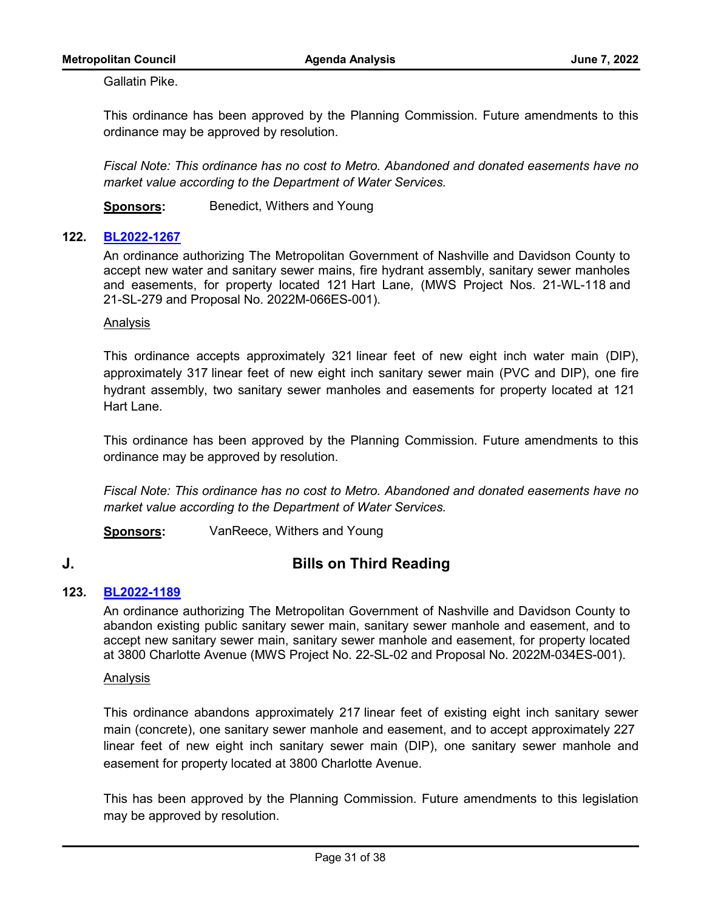Gallatin Pike.

This ordinance has been approved by the Planning Commission. Future amendments to this ordinance may be approved by resolution.

*Fiscal Note: This ordinance has no cost to Metro. Abandoned and donated easements have no market value according to the Department of Water Services.*

**Sponsors:** Benedict, Withers and Young

# **122. [BL2022-1267](http://nashville.legistar.com/gateway.aspx?m=l&id=/matter.aspx?key=14476)**

An ordinance authorizing The Metropolitan Government of Nashville and Davidson County to accept new water and sanitary sewer mains, fire hydrant assembly, sanitary sewer manholes and easements, for property located 121 Hart Lane, (MWS Project Nos. 21-WL-118 and 21-SL-279 and Proposal No. 2022M-066ES-001).

#### Analysis

This ordinance accepts approximately 321 linear feet of new eight inch water main (DIP), approximately 317 linear feet of new eight inch sanitary sewer main (PVC and DIP), one fire hydrant assembly, two sanitary sewer manholes and easements for property located at 121 Hart Lane.

This ordinance has been approved by the Planning Commission. Future amendments to this ordinance may be approved by resolution.

*Fiscal Note: This ordinance has no cost to Metro. Abandoned and donated easements have no market value according to the Department of Water Services.*

**Sponsors:** VanReece, Withers and Young

# **J. Bills on Third Reading**

# **123. [BL2022-1189](http://nashville.legistar.com/gateway.aspx?m=l&id=/matter.aspx?key=14282)**

An ordinance authorizing The Metropolitan Government of Nashville and Davidson County to abandon existing public sanitary sewer main, sanitary sewer manhole and easement, and to accept new sanitary sewer main, sanitary sewer manhole and easement, for property located at 3800 Charlotte Avenue (MWS Project No. 22-SL-02 and Proposal No. 2022M-034ES-001).

#### Analysis

This ordinance abandons approximately 217 linear feet of existing eight inch sanitary sewer main (concrete), one sanitary sewer manhole and easement, and to accept approximately 227 linear feet of new eight inch sanitary sewer main (DIP), one sanitary sewer manhole and easement for property located at 3800 Charlotte Avenue.

This has been approved by the Planning Commission. Future amendments to this legislation may be approved by resolution.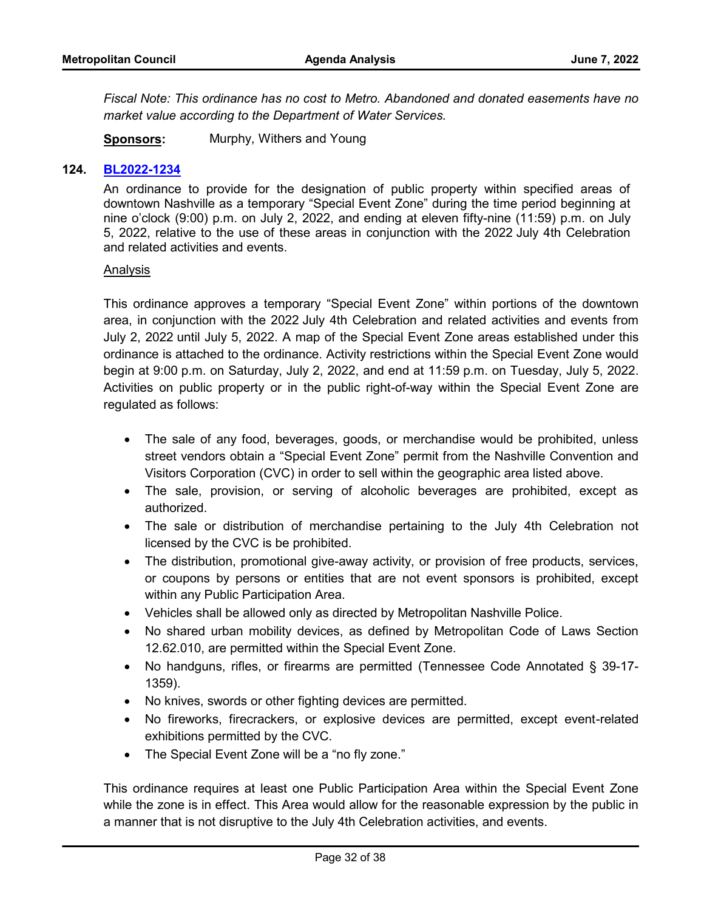*Fiscal Note: This ordinance has no cost to Metro. Abandoned and donated easements have no market value according to the Department of Water Services.*

**Sponsors:** Murphy, Withers and Young

# **124. [BL2022-1234](http://nashville.legistar.com/gateway.aspx?m=l&id=/matter.aspx?key=14433)**

An ordinance to provide for the designation of public property within specified areas of downtown Nashville as a temporary "Special Event Zone" during the time period beginning at nine o'clock (9:00) p.m. on July 2, 2022, and ending at eleven fifty-nine (11:59) p.m. on July 5, 2022, relative to the use of these areas in conjunction with the 2022 July 4th Celebration and related activities and events.

#### Analysis

This ordinance approves a temporary "Special Event Zone" within portions of the downtown area, in conjunction with the 2022 July 4th Celebration and related activities and events from July 2, 2022 until July 5, 2022. A map of the Special Event Zone areas established under this ordinance is attached to the ordinance. Activity restrictions within the Special Event Zone would begin at 9:00 p.m. on Saturday, July 2, 2022, and end at 11:59 p.m. on Tuesday, July 5, 2022. Activities on public property or in the public right-of-way within the Special Event Zone are regulated as follows:

- · The sale of any food, beverages, goods, or merchandise would be prohibited, unless street vendors obtain a "Special Event Zone" permit from the Nashville Convention and Visitors Corporation (CVC) in order to sell within the geographic area listed above.
- · The sale, provision, or serving of alcoholic beverages are prohibited, except as authorized.
- · The sale or distribution of merchandise pertaining to the July 4th Celebration not licensed by the CVC is be prohibited.
- The distribution, promotional give-away activity, or provision of free products, services, or coupons by persons or entities that are not event sponsors is prohibited, except within any Public Participation Area.
- · Vehicles shall be allowed only as directed by Metropolitan Nashville Police.
- · No shared urban mobility devices, as defined by Metropolitan Code of Laws Section 12.62.010, are permitted within the Special Event Zone.
- · No handguns, rifles, or firearms are permitted (Tennessee Code Annotated § 39-17- 1359).
- · No knives, swords or other fighting devices are permitted.
- · No fireworks, firecrackers, or explosive devices are permitted, except event-related exhibitions permitted by the CVC.
- The Special Event Zone will be a "no fly zone."

This ordinance requires at least one Public Participation Area within the Special Event Zone while the zone is in effect. This Area would allow for the reasonable expression by the public in a manner that is not disruptive to the July 4th Celebration activities, and events.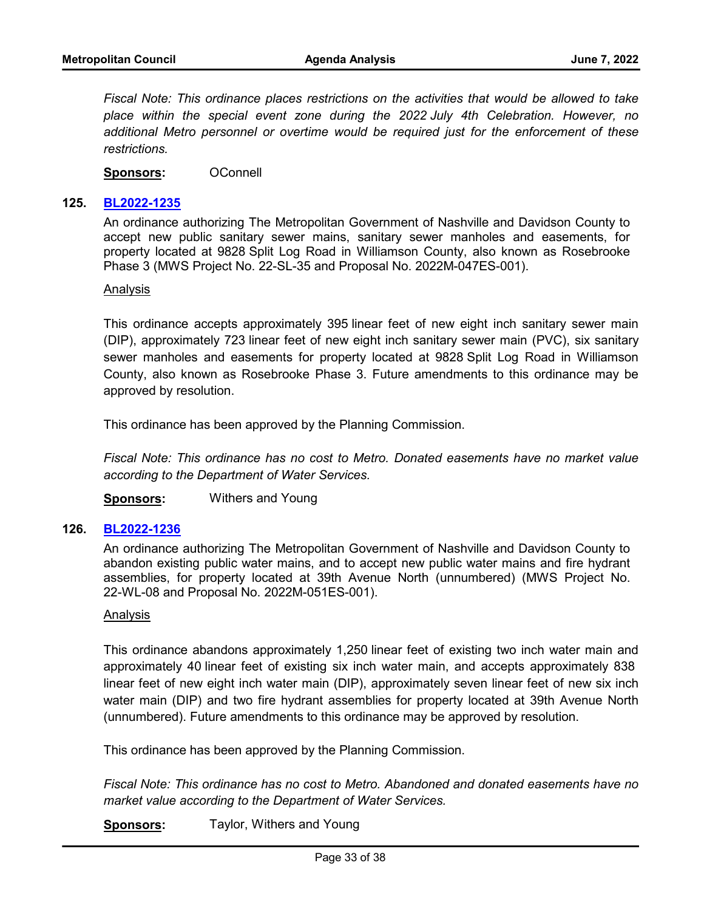*Fiscal Note: This ordinance places restrictions on the activities that would be allowed to take place within the special event zone during the 2022 July 4th Celebration. However, no additional Metro personnel or overtime would be required just for the enforcement of these restrictions.*

**Sponsors:** OConnell

#### **125. [BL2022-1235](http://nashville.legistar.com/gateway.aspx?m=l&id=/matter.aspx?key=14406)**

An ordinance authorizing The Metropolitan Government of Nashville and Davidson County to accept new public sanitary sewer mains, sanitary sewer manholes and easements, for property located at 9828 Split Log Road in Williamson County, also known as Rosebrooke Phase 3 (MWS Project No. 22-SL-35 and Proposal No. 2022M-047ES-001).

#### Analysis

This ordinance accepts approximately 395 linear feet of new eight inch sanitary sewer main (DIP), approximately 723 linear feet of new eight inch sanitary sewer main (PVC), six sanitary sewer manholes and easements for property located at 9828 Split Log Road in Williamson County, also known as Rosebrooke Phase 3. Future amendments to this ordinance may be approved by resolution.

This ordinance has been approved by the Planning Commission.

*Fiscal Note: This ordinance has no cost to Metro. Donated easements have no market value according to the Department of Water Services.*

**Sponsors:** Withers and Young

#### **126. [BL2022-1236](http://nashville.legistar.com/gateway.aspx?m=l&id=/matter.aspx?key=14407)**

An ordinance authorizing The Metropolitan Government of Nashville and Davidson County to abandon existing public water mains, and to accept new public water mains and fire hydrant assemblies, for property located at 39th Avenue North (unnumbered) (MWS Project No. 22-WL-08 and Proposal No. 2022M-051ES-001).

#### Analysis

This ordinance abandons approximately 1,250 linear feet of existing two inch water main and approximately 40 linear feet of existing six inch water main, and accepts approximately 838 linear feet of new eight inch water main (DIP), approximately seven linear feet of new six inch water main (DIP) and two fire hydrant assemblies for property located at 39th Avenue North (unnumbered). Future amendments to this ordinance may be approved by resolution.

This ordinance has been approved by the Planning Commission.

*Fiscal Note: This ordinance has no cost to Metro. Abandoned and donated easements have no market value according to the Department of Water Services.*

**Sponsors:** Taylor, Withers and Young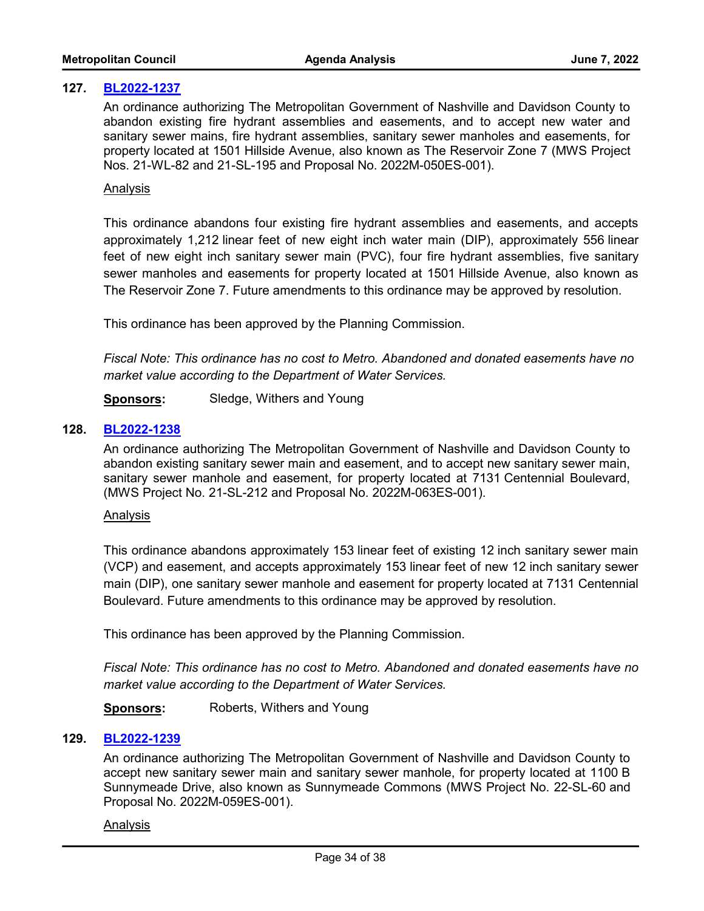# **127. [BL2022-1237](http://nashville.legistar.com/gateway.aspx?m=l&id=/matter.aspx?key=14408)**

An ordinance authorizing The Metropolitan Government of Nashville and Davidson County to abandon existing fire hydrant assemblies and easements, and to accept new water and sanitary sewer mains, fire hydrant assemblies, sanitary sewer manholes and easements, for property located at 1501 Hillside Avenue, also known as The Reservoir Zone 7 (MWS Project Nos. 21-WL-82 and 21-SL-195 and Proposal No. 2022M-050ES-001).

#### Analysis

This ordinance abandons four existing fire hydrant assemblies and easements, and accepts approximately 1,212 linear feet of new eight inch water main (DIP), approximately 556 linear feet of new eight inch sanitary sewer main (PVC), four fire hydrant assemblies, five sanitary sewer manholes and easements for property located at 1501 Hillside Avenue, also known as The Reservoir Zone 7. Future amendments to this ordinance may be approved by resolution.

This ordinance has been approved by the Planning Commission.

*Fiscal Note: This ordinance has no cost to Metro. Abandoned and donated easements have no market value according to the Department of Water Services.*

**Sponsors:** Sledge, Withers and Young

# **128. [BL2022-1238](http://nashville.legistar.com/gateway.aspx?m=l&id=/matter.aspx?key=14413)**

An ordinance authorizing The Metropolitan Government of Nashville and Davidson County to abandon existing sanitary sewer main and easement, and to accept new sanitary sewer main, sanitary sewer manhole and easement, for property located at 7131 Centennial Boulevard, (MWS Project No. 21-SL-212 and Proposal No. 2022M-063ES-001).

#### Analysis

This ordinance abandons approximately 153 linear feet of existing 12 inch sanitary sewer main (VCP) and easement, and accepts approximately 153 linear feet of new 12 inch sanitary sewer main (DIP), one sanitary sewer manhole and easement for property located at 7131 Centennial Boulevard. Future amendments to this ordinance may be approved by resolution.

This ordinance has been approved by the Planning Commission.

*Fiscal Note: This ordinance has no cost to Metro. Abandoned and donated easements have no market value according to the Department of Water Services.*

**Sponsors:** Roberts, Withers and Young

#### **129. [BL2022-1239](http://nashville.legistar.com/gateway.aspx?m=l&id=/matter.aspx?key=14414)**

An ordinance authorizing The Metropolitan Government of Nashville and Davidson County to accept new sanitary sewer main and sanitary sewer manhole, for property located at 1100 B Sunnymeade Drive, also known as Sunnymeade Commons (MWS Project No. 22-SL-60 and Proposal No. 2022M-059ES-001).

#### Analysis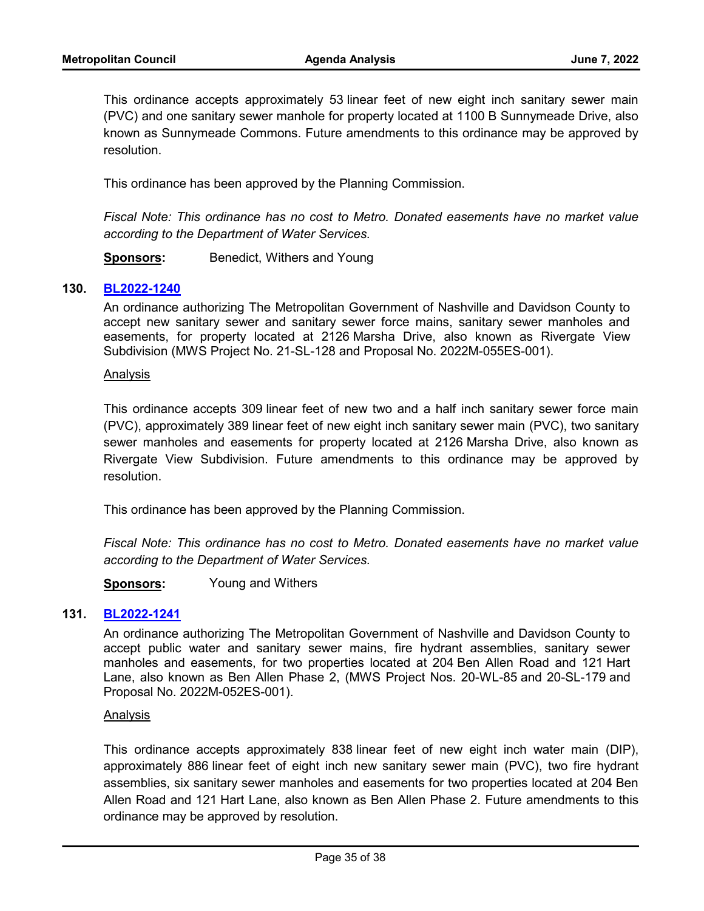This ordinance accepts approximately 53 linear feet of new eight inch sanitary sewer main (PVC) and one sanitary sewer manhole for property located at 1100 B Sunnymeade Drive, also known as Sunnymeade Commons. Future amendments to this ordinance may be approved by resolution.

This ordinance has been approved by the Planning Commission.

*Fiscal Note: This ordinance has no cost to Metro. Donated easements have no market value according to the Department of Water Services.*

**Sponsors:** Benedict, Withers and Young

# **130. [BL2022-1240](http://nashville.legistar.com/gateway.aspx?m=l&id=/matter.aspx?key=14415)**

An ordinance authorizing The Metropolitan Government of Nashville and Davidson County to accept new sanitary sewer and sanitary sewer force mains, sanitary sewer manholes and easements, for property located at 2126 Marsha Drive, also known as Rivergate View Subdivision (MWS Project No. 21-SL-128 and Proposal No. 2022M-055ES-001).

#### Analysis

This ordinance accepts 309 linear feet of new two and a half inch sanitary sewer force main (PVC), approximately 389 linear feet of new eight inch sanitary sewer main (PVC), two sanitary sewer manholes and easements for property located at 2126 Marsha Drive, also known as Rivergate View Subdivision. Future amendments to this ordinance may be approved by resolution.

This ordinance has been approved by the Planning Commission.

*Fiscal Note: This ordinance has no cost to Metro. Donated easements have no market value according to the Department of Water Services.*

**Sponsors:** Young and Withers

## **131. [BL2022-1241](http://nashville.legistar.com/gateway.aspx?m=l&id=/matter.aspx?key=14416)**

An ordinance authorizing The Metropolitan Government of Nashville and Davidson County to accept public water and sanitary sewer mains, fire hydrant assemblies, sanitary sewer manholes and easements, for two properties located at 204 Ben Allen Road and 121 Hart Lane, also known as Ben Allen Phase 2, (MWS Project Nos. 20-WL-85 and 20-SL-179 and Proposal No. 2022M-052ES-001).

#### Analysis

This ordinance accepts approximately 838 linear feet of new eight inch water main (DIP), approximately 886 linear feet of eight inch new sanitary sewer main (PVC), two fire hydrant assemblies, six sanitary sewer manholes and easements for two properties located at 204 Ben Allen Road and 121 Hart Lane, also known as Ben Allen Phase 2. Future amendments to this ordinance may be approved by resolution.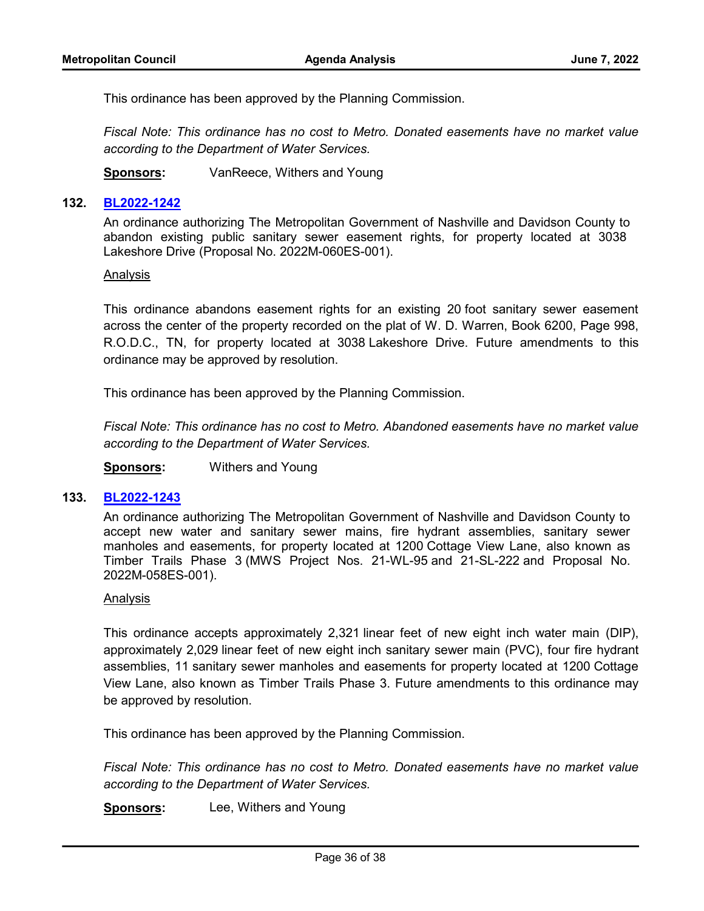This ordinance has been approved by the Planning Commission.

*Fiscal Note: This ordinance has no cost to Metro. Donated easements have no market value according to the Department of Water Services.*

**Sponsors:** VanReece, Withers and Young

#### **132. [BL2022-1242](http://nashville.legistar.com/gateway.aspx?m=l&id=/matter.aspx?key=14417)**

An ordinance authorizing The Metropolitan Government of Nashville and Davidson County to abandon existing public sanitary sewer easement rights, for property located at 3038 Lakeshore Drive (Proposal No. 2022M-060ES-001).

#### Analysis

This ordinance abandons easement rights for an existing 20 foot sanitary sewer easement across the center of the property recorded on the plat of W. D. Warren, Book 6200, Page 998, R.O.D.C., TN, for property located at 3038 Lakeshore Drive. Future amendments to this ordinance may be approved by resolution.

This ordinance has been approved by the Planning Commission.

*Fiscal Note: This ordinance has no cost to Metro. Abandoned easements have no market value according to the Department of Water Services.*

**Sponsors:** Withers and Young

#### **133. [BL2022-1243](http://nashville.legistar.com/gateway.aspx?m=l&id=/matter.aspx?key=14418)**

An ordinance authorizing The Metropolitan Government of Nashville and Davidson County to accept new water and sanitary sewer mains, fire hydrant assemblies, sanitary sewer manholes and easements, for property located at 1200 Cottage View Lane, also known as Timber Trails Phase 3 (MWS Project Nos. 21-WL-95 and 21-SL-222 and Proposal No. 2022M-058ES-001).

#### Analysis

This ordinance accepts approximately 2,321 linear feet of new eight inch water main (DIP), approximately 2,029 linear feet of new eight inch sanitary sewer main (PVC), four fire hydrant assemblies, 11 sanitary sewer manholes and easements for property located at 1200 Cottage View Lane, also known as Timber Trails Phase 3. Future amendments to this ordinance may be approved by resolution.

This ordinance has been approved by the Planning Commission.

*Fiscal Note: This ordinance has no cost to Metro. Donated easements have no market value according to the Department of Water Services.*

**Sponsors:** Lee, Withers and Young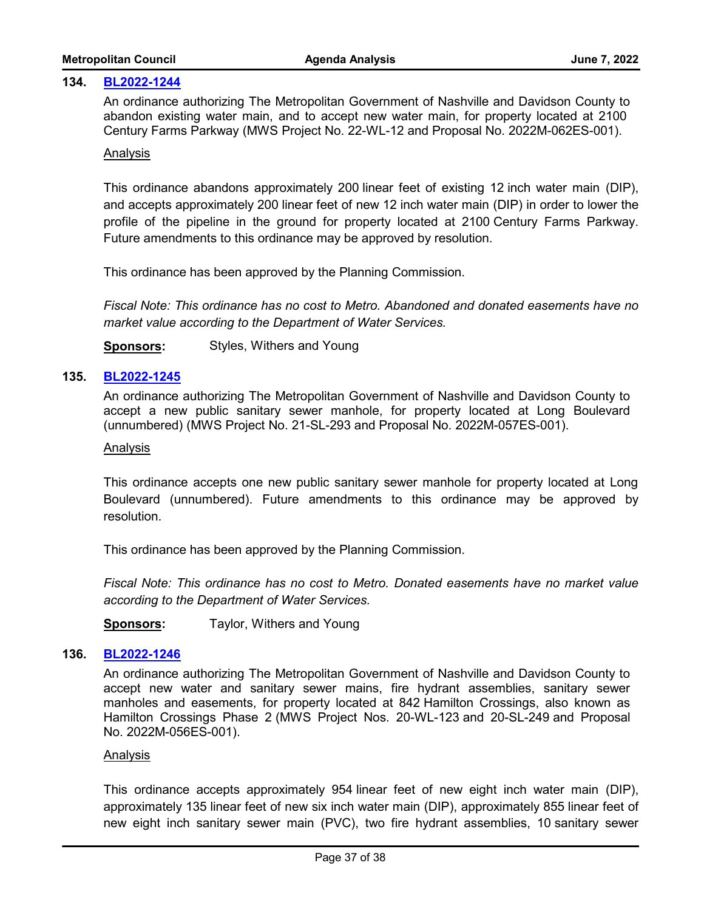#### **134. [BL2022-1244](http://nashville.legistar.com/gateway.aspx?m=l&id=/matter.aspx?key=14419)**

An ordinance authorizing The Metropolitan Government of Nashville and Davidson County to abandon existing water main, and to accept new water main, for property located at 2100 Century Farms Parkway (MWS Project No. 22-WL-12 and Proposal No. 2022M-062ES-001).

#### Analysis

This ordinance abandons approximately 200 linear feet of existing 12 inch water main (DIP), and accepts approximately 200 linear feet of new 12 inch water main (DIP) in order to lower the profile of the pipeline in the ground for property located at 2100 Century Farms Parkway. Future amendments to this ordinance may be approved by resolution.

This ordinance has been approved by the Planning Commission.

*Fiscal Note: This ordinance has no cost to Metro. Abandoned and donated easements have no market value according to the Department of Water Services.*

**Sponsors:** Styles, Withers and Young

# **135. [BL2022-1245](http://nashville.legistar.com/gateway.aspx?m=l&id=/matter.aspx?key=14420)**

An ordinance authorizing The Metropolitan Government of Nashville and Davidson County to accept a new public sanitary sewer manhole, for property located at Long Boulevard (unnumbered) (MWS Project No. 21-SL-293 and Proposal No. 2022M-057ES-001).

#### Analysis

This ordinance accepts one new public sanitary sewer manhole for property located at Long Boulevard (unnumbered). Future amendments to this ordinance may be approved by resolution.

This ordinance has been approved by the Planning Commission.

*Fiscal Note: This ordinance has no cost to Metro. Donated easements have no market value according to the Department of Water Services.*

**Sponsors:** Taylor, Withers and Young

#### **136. [BL2022-1246](http://nashville.legistar.com/gateway.aspx?m=l&id=/matter.aspx?key=14421)**

An ordinance authorizing The Metropolitan Government of Nashville and Davidson County to accept new water and sanitary sewer mains, fire hydrant assemblies, sanitary sewer manholes and easements, for property located at 842 Hamilton Crossings, also known as Hamilton Crossings Phase 2 (MWS Project Nos. 20-WL-123 and 20-SL-249 and Proposal No. 2022M-056ES-001).

#### Analysis

This ordinance accepts approximately 954 linear feet of new eight inch water main (DIP), approximately 135 linear feet of new six inch water main (DIP), approximately 855 linear feet of new eight inch sanitary sewer main (PVC), two fire hydrant assemblies, 10 sanitary sewer